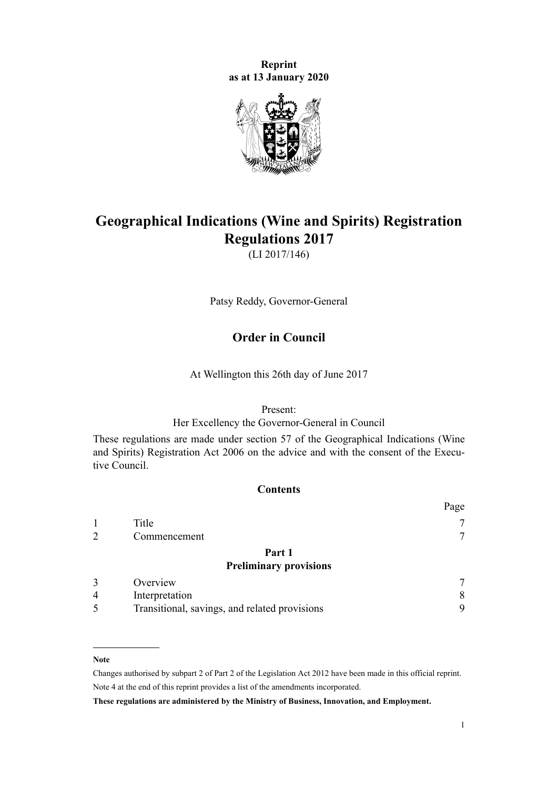**Reprint as at 13 January 2020**



# **Geographical Indications (Wine and Spirits) Registration Regulations 2017**

(LI 2017/146)

Patsy Reddy, Governor-General

# **Order in Council**

At Wellington this 26th day of June 2017

### Present:

Her Excellency the Governor-General in Council

These regulations are made under [section 57](http://legislation.govt.nz/pdflink.aspx?id=DLM390887) of the [Geographical Indications \(Wine](http://legislation.govt.nz/pdflink.aspx?id=DLM390755) [and Spirits\) Registration Act 2006](http://legislation.govt.nz/pdflink.aspx?id=DLM390755) on the advice and with the consent of the Executive Council.

# **Contents**

|   |                                               | Page |
|---|-----------------------------------------------|------|
|   | Title                                         |      |
|   | Commencement                                  |      |
|   | Part 1                                        |      |
|   | <b>Preliminary provisions</b>                 |      |
|   | Overview                                      |      |
| 4 | Interpretation                                | 8    |
| 5 | Transitional, savings, and related provisions | 9    |
|   |                                               |      |

### **Note**

Changes authorised by [subpart 2](http://legislation.govt.nz/pdflink.aspx?id=DLM2998524) of Part 2 of the Legislation Act 2012 have been made in this official reprint. Note 4 at the end of this reprint provides a list of the amendments incorporated.

**These regulations are administered by the Ministry of Business, Innovation, and Employment.**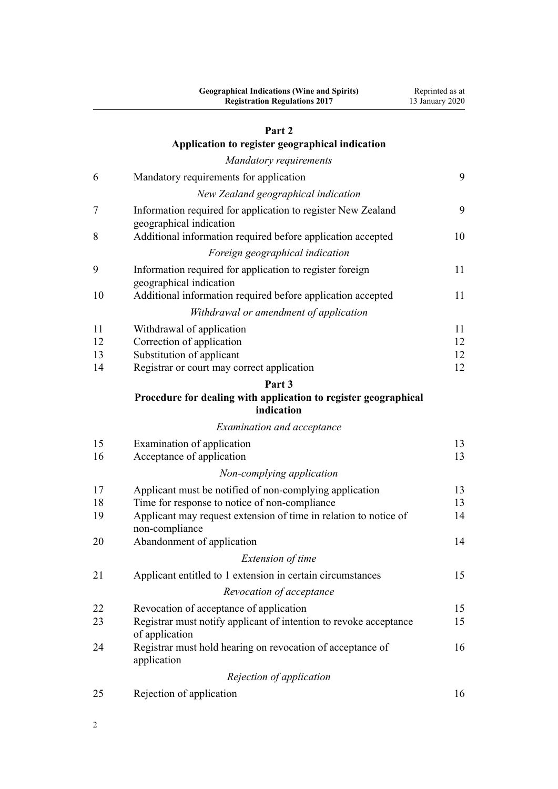# [Part 2](#page-8-0)

|    | r art 4                                                                                 |    |
|----|-----------------------------------------------------------------------------------------|----|
|    | Application to register geographical indication                                         |    |
|    | <b>Mandatory requirements</b>                                                           |    |
| 6  | Mandatory requirements for application                                                  | 9  |
|    | New Zealand geographical indication                                                     |    |
| 7  | Information required for application to register New Zealand<br>geographical indication | 9  |
| 8  | Additional information required before application accepted                             | 10 |
|    | Foreign geographical indication                                                         |    |
| 9  | Information required for application to register foreign<br>geographical indication     | 11 |
| 10 | Additional information required before application accepted                             | 11 |
|    | Withdrawal or amendment of application                                                  |    |
| 11 | Withdrawal of application                                                               | 11 |
| 12 | Correction of application                                                               | 12 |
| 13 | Substitution of applicant                                                               | 12 |
| 14 | Registrar or court may correct application                                              | 12 |
|    | Part <sub>3</sub>                                                                       |    |
|    | Procedure for dealing with application to register geographical<br>indication           |    |
|    | <b>Examination and acceptance</b>                                                       |    |
| 15 | Examination of application                                                              | 13 |
| 16 | Acceptance of application                                                               | 13 |
|    | Non-complying application                                                               |    |
| 17 | Applicant must be notified of non-complying application                                 | 13 |
| 18 | Time for response to notice of non-compliance                                           | 13 |
| 19 | Applicant may request extension of time in relation to notice of<br>non-compliance      | 14 |
| 20 | Abandonment of application                                                              | 14 |
|    | Extension of time                                                                       |    |
| 21 | Applicant entitled to 1 extension in certain circumstances                              | 15 |
|    | Revocation of acceptance                                                                |    |
| 22 | Revocation of acceptance of application                                                 | 15 |
| 23 | Registrar must notify applicant of intention to revoke acceptance<br>of application     | 15 |
| 24 | Registrar must hold hearing on revocation of acceptance of<br>application               | 16 |
|    | Rejection of application                                                                |    |
| 25 | Rejection of application                                                                | 16 |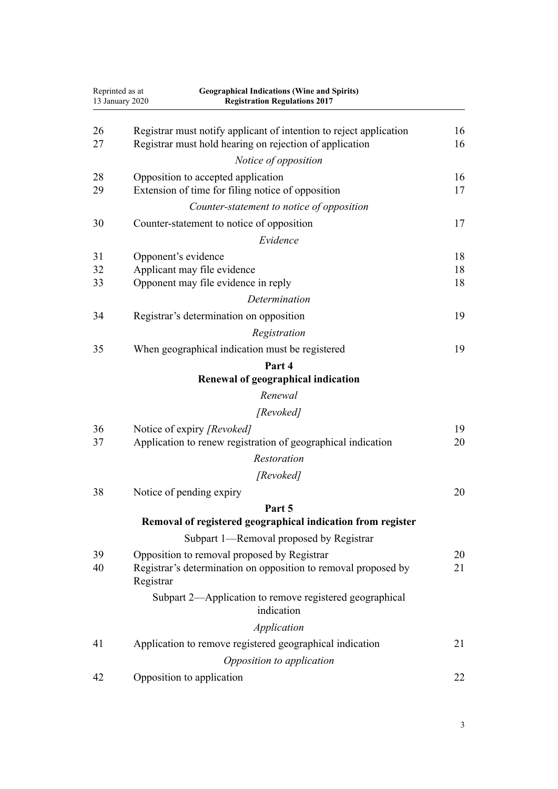| Reprinted as at<br>13 January 2020 |           | <b>Geographical Indications (Wine and Spirits)</b><br><b>Registration Regulations 2017</b>                                    |          |
|------------------------------------|-----------|-------------------------------------------------------------------------------------------------------------------------------|----------|
| 26<br>27                           |           | Registrar must notify applicant of intention to reject application<br>Registrar must hold hearing on rejection of application | 16<br>16 |
|                                    |           | Notice of opposition                                                                                                          |          |
| 28                                 |           | Opposition to accepted application                                                                                            | 16       |
| 29                                 |           | Extension of time for filing notice of opposition                                                                             | 17       |
|                                    |           | Counter-statement to notice of opposition                                                                                     |          |
| 30                                 |           | Counter-statement to notice of opposition                                                                                     | 17       |
|                                    |           | Evidence                                                                                                                      |          |
| 31                                 |           | Opponent's evidence                                                                                                           | 18       |
| 32                                 |           | Applicant may file evidence                                                                                                   | 18       |
| 33                                 |           | Opponent may file evidence in reply                                                                                           | 18       |
|                                    |           | Determination                                                                                                                 |          |
| 34                                 |           | Registrar's determination on opposition                                                                                       | 19       |
|                                    |           | Registration                                                                                                                  |          |
| 35                                 |           | When geographical indication must be registered                                                                               | 19       |
|                                    |           | Part 4                                                                                                                        |          |
|                                    |           | Renewal of geographical indication                                                                                            |          |
|                                    |           | Renewal                                                                                                                       |          |
|                                    |           | [Revoked]                                                                                                                     |          |
| 36                                 |           | Notice of expiry [Revoked]                                                                                                    | 19       |
| 37                                 |           | Application to renew registration of geographical indication                                                                  | 20       |
|                                    |           | Restoration                                                                                                                   |          |
|                                    |           | [Revoked]                                                                                                                     |          |
| 38                                 |           | Notice of pending expiry                                                                                                      | 20       |
|                                    |           | Part 5                                                                                                                        |          |
|                                    |           | Removal of registered geographical indication from register                                                                   |          |
|                                    |           | Subpart 1—Removal proposed by Registrar                                                                                       |          |
| 39<br>40                           | Registrar | Opposition to removal proposed by Registrar<br>Registrar's determination on opposition to removal proposed by                 | 20<br>21 |
|                                    |           | Subpart 2—Application to remove registered geographical<br>indication                                                         |          |
|                                    |           | Application                                                                                                                   |          |
| 41                                 |           | Application to remove registered geographical indication                                                                      | 21       |
|                                    |           | Opposition to application                                                                                                     |          |
| 42                                 |           | Opposition to application                                                                                                     | 22       |
|                                    |           |                                                                                                                               |          |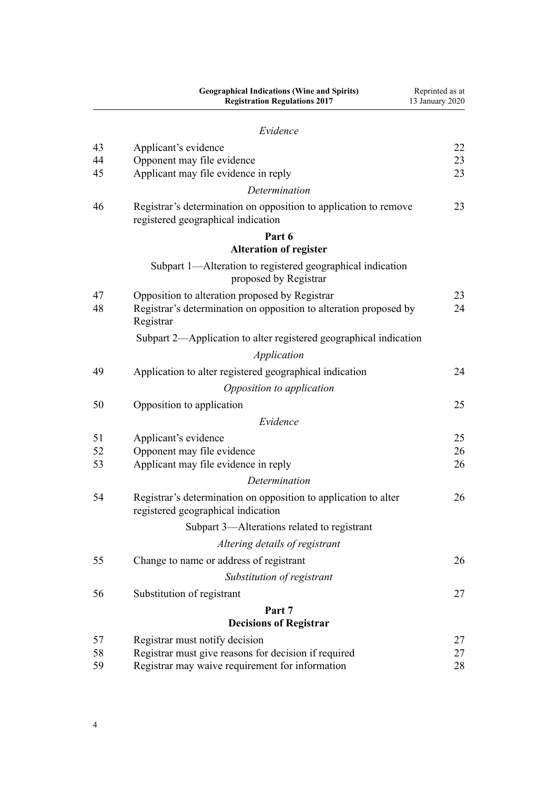|    | <b>Geographical Indications (Wine and Spirits)</b><br><b>Registration Regulations 2017</b>             | Reprinted as at<br>13 January 2020 |
|----|--------------------------------------------------------------------------------------------------------|------------------------------------|
|    | Evidence                                                                                               |                                    |
| 43 | Applicant's evidence                                                                                   | 22                                 |
| 44 | Opponent may file evidence                                                                             | 23                                 |
| 45 | Applicant may file evidence in reply                                                                   | 23                                 |
|    | Determination                                                                                          |                                    |
| 46 | Registrar's determination on opposition to application to remove<br>registered geographical indication | 23                                 |
|    | Part 6<br><b>Alteration of register</b>                                                                |                                    |
|    | Subpart 1—Alteration to registered geographical indication                                             |                                    |
|    | proposed by Registrar                                                                                  |                                    |
| 47 | Opposition to alteration proposed by Registrar                                                         | 23                                 |
| 48 | Registrar's determination on opposition to alteration proposed by<br>Registrar                         | 24                                 |
|    | Subpart 2—Application to alter registered geographical indication                                      |                                    |
|    | Application                                                                                            |                                    |
| 49 | Application to alter registered geographical indication                                                | 24                                 |
|    | Opposition to application                                                                              |                                    |
| 50 | Opposition to application                                                                              | 25                                 |
|    | Evidence                                                                                               |                                    |
| 51 | Applicant's evidence                                                                                   | 25                                 |
| 52 | Opponent may file evidence                                                                             | 26                                 |
| 53 | Applicant may file evidence in reply                                                                   | 26                                 |
|    | Determination                                                                                          |                                    |
| 54 | Registrar's determination on opposition to application to alter<br>registered geographical indication  | 26                                 |
|    | Subpart 3-Alterations related to registrant                                                            |                                    |
|    | Altering details of registrant                                                                         |                                    |
| 55 | Change to name or address of registrant                                                                | 26                                 |
|    | Substitution of registrant                                                                             |                                    |
| 56 | Substitution of registrant                                                                             | 27                                 |
|    | Part 7                                                                                                 |                                    |
|    | <b>Decisions of Registrar</b>                                                                          |                                    |
| 57 | Registrar must notify decision                                                                         | 27                                 |
| 58 | Registrar must give reasons for decision if required                                                   | 27                                 |
| 59 | Registrar may waive requirement for information                                                        | 28                                 |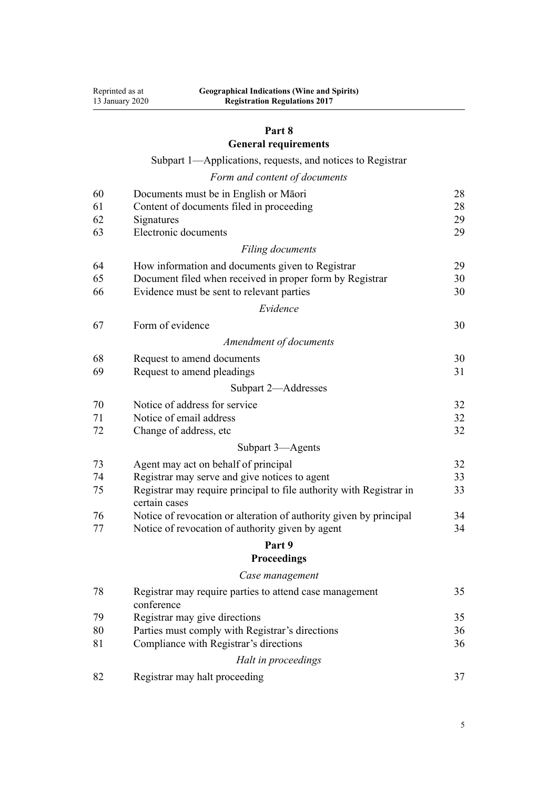### **[Part 8](#page-27-0)**

**[General requirements](#page-27-0)**

[Subpart 1—Applications, requests, and notices to Registrar](#page-27-0)

|  |  | Form and content of documents |
|--|--|-------------------------------|
|  |  |                               |

| 60 | Documents must be in English or Māori                                                | 28 |
|----|--------------------------------------------------------------------------------------|----|
| 61 | Content of documents filed in proceeding                                             | 28 |
| 62 | Signatures                                                                           | 29 |
| 63 | Electronic documents                                                                 | 29 |
|    | Filing documents                                                                     |    |
| 64 | How information and documents given to Registrar                                     | 29 |
| 65 | Document filed when received in proper form by Registrar                             | 30 |
| 66 | Evidence must be sent to relevant parties                                            | 30 |
|    | Evidence                                                                             |    |
| 67 | Form of evidence                                                                     | 30 |
|    | Amendment of documents                                                               |    |
| 68 | Request to amend documents                                                           | 30 |
| 69 | Request to amend pleadings                                                           | 31 |
|    | Subpart 2-Addresses                                                                  |    |
| 70 | Notice of address for service                                                        | 32 |
| 71 | Notice of email address                                                              | 32 |
| 72 | Change of address, etc.                                                              | 32 |
|    | Subpart 3-Agents                                                                     |    |
| 73 | Agent may act on behalf of principal                                                 | 32 |
| 74 | Registrar may serve and give notices to agent                                        | 33 |
| 75 | Registrar may require principal to file authority with Registrar in<br>certain cases | 33 |
| 76 | Notice of revocation or alteration of authority given by principal                   | 34 |
| 77 | Notice of revocation of authority given by agent                                     | 34 |
|    | Part 9                                                                               |    |
|    | <b>Proceedings</b>                                                                   |    |
|    | Case management                                                                      |    |
| 78 | Registrar may require parties to attend case management<br>conference                | 35 |
| 79 | Registrar may give directions                                                        | 35 |
| 80 | Parties must comply with Registrar's directions                                      | 36 |
| 81 | Compliance with Registrar's directions                                               | 36 |
|    | Halt in proceedings                                                                  |    |
| 82 | Registrar may halt proceeding                                                        | 37 |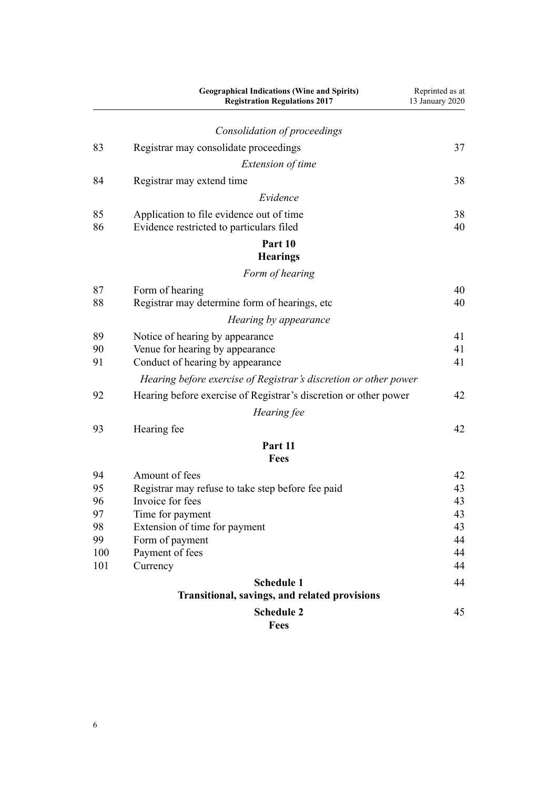|          | <b>Geographical Indications (Wine and Spirits)</b><br><b>Registration Regulations 2017</b> | Reprinted as at<br>13 January 2020 |
|----------|--------------------------------------------------------------------------------------------|------------------------------------|
|          | Consolidation of proceedings                                                               |                                    |
| 83       | Registrar may consolidate proceedings                                                      | 37                                 |
|          | <i>Extension of time</i>                                                                   |                                    |
| 84       | Registrar may extend time                                                                  | 38                                 |
|          | Evidence                                                                                   |                                    |
| 85       | Application to file evidence out of time                                                   | 38                                 |
| 86       | Evidence restricted to particulars filed                                                   | 40                                 |
|          | Part 10                                                                                    |                                    |
|          | <b>Hearings</b>                                                                            |                                    |
|          | Form of hearing                                                                            |                                    |
| 87       | Form of hearing                                                                            | 40                                 |
| 88       | Registrar may determine form of hearings, etc                                              | 40                                 |
|          | Hearing by appearance                                                                      |                                    |
|          |                                                                                            |                                    |
| 89<br>90 | Notice of hearing by appearance<br>Venue for hearing by appearance                         | 41<br>41                           |
| 91       | Conduct of hearing by appearance                                                           | 41                                 |
|          | Hearing before exercise of Registrar's discretion or other power                           |                                    |
|          |                                                                                            |                                    |
| 92       | Hearing before exercise of Registrar's discretion or other power                           | 42                                 |
|          | Hearing fee                                                                                |                                    |
| 93       | Hearing fee                                                                                | 42                                 |
|          | Part 11                                                                                    |                                    |
|          | <b>Fees</b>                                                                                |                                    |
| 94       | Amount of fees                                                                             | 42                                 |
| 95       | Registrar may refuse to take step before fee paid                                          | 43                                 |
| 96       | Invoice for fees                                                                           | 43                                 |
| 97<br>98 | Time for payment<br>Extension of time for payment                                          | 43<br>43                           |
| 99       | Form of payment                                                                            | 44                                 |
| 100      | Payment of fees                                                                            | 44                                 |
| 101      | Currency                                                                                   | 44                                 |
|          | <b>Schedule 1</b>                                                                          | 44                                 |
|          | Transitional, savings, and related provisions                                              |                                    |
|          | <b>Schedule 2</b>                                                                          | 45                                 |
|          | <b>Fees</b>                                                                                |                                    |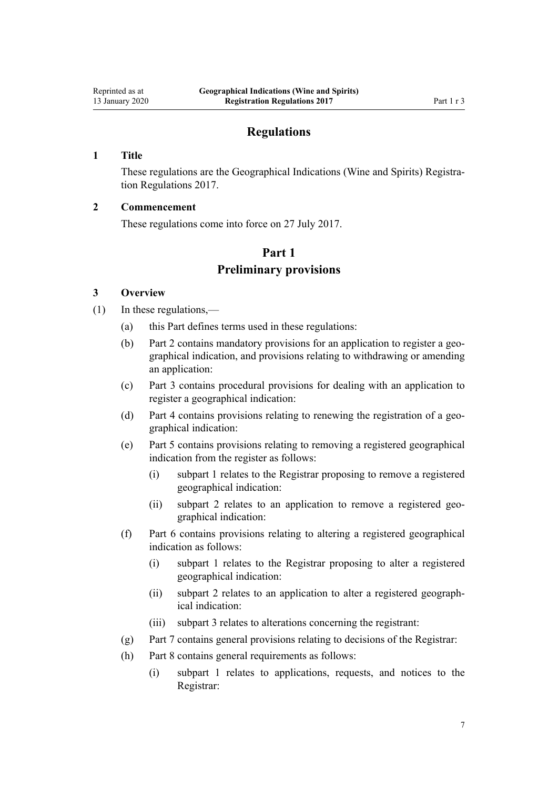# **Regulations**

### <span id="page-6-0"></span>**1 Title**

These regulations are the Geographical Indications (Wine and Spirits) Registration Regulations 2017.

# **2 Commencement**

These regulations come into force on 27 July 2017.

# **Part 1 Preliminary provisions**

### **3 Overview**

- (1) In these regulations,—
	- (a) this Part defines terms used in these regulations:
	- (b) [Part 2](#page-8-0) contains mandatory provisions for an application to register a geographical indication, and provisions relating to withdrawing or amending an application:
	- (c) [Part 3](#page-12-0) contains procedural provisions for dealing with an application to register a geographical indication:
	- (d) [Part 4](#page-18-0) contains provisions relating to renewing the registration of a geographical indication:
	- (e) [Part 5](#page-19-0) contains provisions relating to removing a registered geographical indication from the register as follows:
		- (i) [subpart 1](#page-19-0) relates to the Registrar proposing to remove a registered geographical indication:
		- (ii) [subpart 2](#page-20-0) relates to an application to remove a registered geographical indication:
	- (f) [Part 6](#page-22-0) contains provisions relating to altering a registered geographical indication as follows:
		- (i) [subpart 1](#page-22-0) relates to the Registrar proposing to alter a registered geographical indication:
		- (ii) [subpart 2](#page-23-0) relates to an application to alter a registered geographical indication:
		- (iii) [subpart 3](#page-25-0) relates to alterations concerning the registrant:
	- (g) [Part 7](#page-26-0) contains general provisions relating to decisions of the Registrar:
	- (h) [Part 8](#page-27-0) contains general requirements as follows:
		- (i) [subpart 1](#page-27-0) relates to applications, requests, and notices to the Registrar: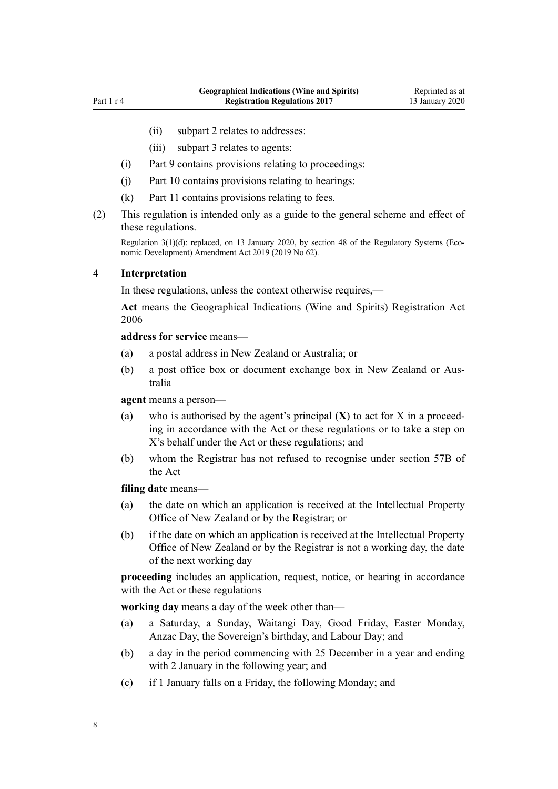- <span id="page-7-0"></span>(ii) [subpart 2](#page-31-0) relates to addresses:
- (iii) [subpart 3](#page-31-0) relates to agents:
- (i) [Part 9](#page-34-0) contains provisions relating to proceedings:
- (j) [Part 10](#page-39-0) contains provisions relating to hearings:
- (k) [Part 11](#page-41-0) contains provisions relating to fees.
- (2) This regulation is intended only as a guide to the general scheme and effect of these regulations.

Regulation 3(1)(d): replaced, on 13 January 2020, by [section 48](http://legislation.govt.nz/pdflink.aspx?id=LMS85618) of the Regulatory Systems (Economic Development) Amendment Act 2019 (2019 No 62).

### **4 Interpretation**

In these regulations, unless the context otherwise requires,—

**Act** means the [Geographical Indications \(Wine and Spirits\) Registration Act](http://legislation.govt.nz/pdflink.aspx?id=DLM390755) [2006](http://legislation.govt.nz/pdflink.aspx?id=DLM390755)

#### **address for service** means—

- (a) a postal address in New Zealand or Australia; or
- (b) a post office box or document exchange box in New Zealand or Australia

**agent** means a person—

- (a) who is authorised by the agent's principal (**X**) to act for X in a proceeding in accordance with the Act or these regulations or to take a step on X's behalf under the Act or these regulations; and
- (b) whom the Registrar has not refused to recognise under [section 57B](http://legislation.govt.nz/pdflink.aspx?id=DLM7051617) of the Act

#### **filing date** means—

- (a) the date on which an application is received at the Intellectual Property Office of New Zealand or by the Registrar; or
- (b) if the date on which an application is received at the Intellectual Property Office of New Zealand or by the Registrar is not a working day, the date of the next working day

**proceeding** includes an application, request, notice, or hearing in accordance with the Act or these regulations

**working day** means a day of the week other than—

- (a) a Saturday, a Sunday, Waitangi Day, Good Friday, Easter Monday, Anzac Day, the Sovereign's birthday, and Labour Day; and
- (b) a day in the period commencing with 25 December in a year and ending with 2 January in the following year; and
- (c) if 1 January falls on a Friday, the following Monday; and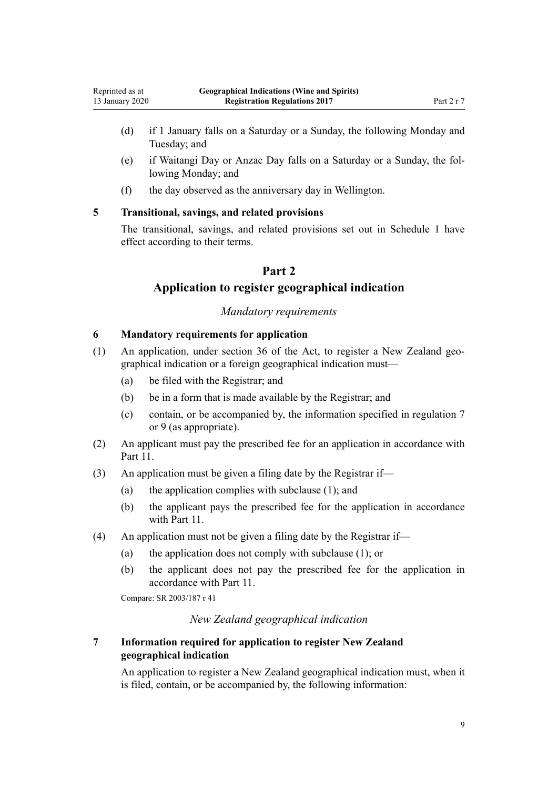- <span id="page-8-0"></span>(d) if 1 January falls on a Saturday or a Sunday, the following Monday and Tuesday; and
- (e) if Waitangi Day or Anzac Day falls on a Saturday or a Sunday, the following Monday; and
- (f) the day observed as the anniversary day in Wellington.

# **5 Transitional, savings, and related provisions**

The transitional, savings, and related provisions set out in [Schedule 1](#page-43-0) have effect according to their terms.

# **Part 2**

# **Application to register geographical indication**

# *Mandatory requirements*

### **6 Mandatory requirements for application**

- (1) An application, under [section 36](http://legislation.govt.nz/pdflink.aspx?id=DLM390862) of the Act, to register a New Zealand geographical indication or a foreign geographical indication must—
	- (a) be filed with the Registrar; and
	- (b) be in a form that is made available by the Registrar; and
	- (c) contain, or be accompanied by, the information specified in regulation 7 or [9](#page-10-0) (as appropriate).
- (2) An applicant must pay the prescribed fee for an application in accordance with [Part 11.](#page-41-0)
- (3) An application must be given a filing date by the Registrar if—
	- (a) the application complies with subclause (1); and
	- (b) the applicant pays the prescribed fee for the application in accordance with [Part 11](#page-41-0).
- (4) An application must not be given a filing date by the Registrar if—
	- (a) the application does not comply with subclause (1); or
	- (b) the applicant does not pay the prescribed fee for the application in accordance with [Part 11.](#page-41-0)

Compare: SR 2003/187 [r 41](http://legislation.govt.nz/pdflink.aspx?id=DLM201968)

# *New Zealand geographical indication*

# **7 Information required for application to register New Zealand geographical indication**

An application to register a New Zealand geographical indication must, when it is filed, contain, or be accompanied by, the following information: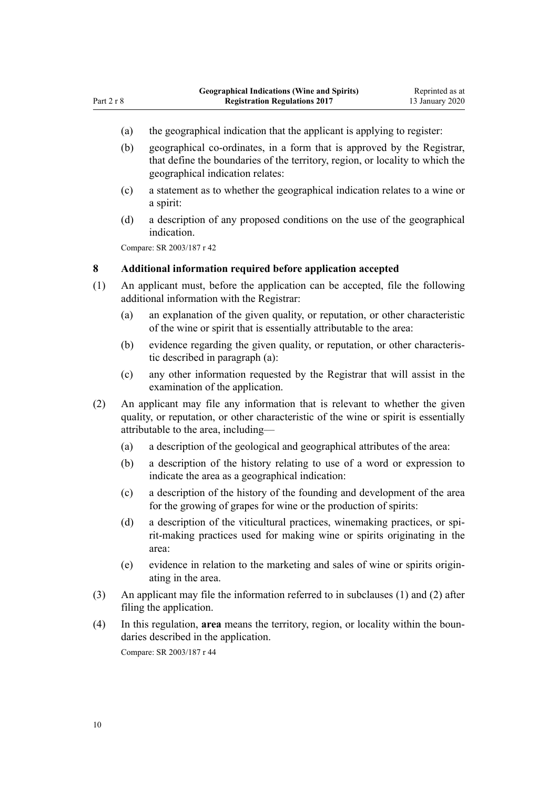- <span id="page-9-0"></span>(a) the geographical indication that the applicant is applying to register:
- (b) geographical co-ordinates, in a form that is approved by the Registrar, that define the boundaries of the territory, region, or locality to which the geographical indication relates:
- (c) a statement as to whether the geographical indication relates to a wine or a spirit:
- (d) a description of any proposed conditions on the use of the geographical indication.

Compare: SR 2003/187 [r 42](http://legislation.govt.nz/pdflink.aspx?id=DLM201969)

### **8 Additional information required before application accepted**

- (1) An applicant must, before the application can be accepted, file the following additional information with the Registrar:
	- (a) an explanation of the given quality, or reputation, or other characteristic of the wine or spirit that is essentially attributable to the area:
	- (b) evidence regarding the given quality, or reputation, or other characteristic described in paragraph (a):
	- (c) any other information requested by the Registrar that will assist in the examination of the application.
- (2) An applicant may file any information that is relevant to whether the given quality, or reputation, or other characteristic of the wine or spirit is essentially attributable to the area, including—
	- (a) a description of the geological and geographical attributes of the area:
	- (b) a description of the history relating to use of a word or expression to indicate the area as a geographical indication:
	- (c) a description of the history of the founding and development of the area for the growing of grapes for wine or the production of spirits:
	- (d) a description of the viticultural practices, winemaking practices, or spirit-making practices used for making wine or spirits originating in the area:
	- (e) evidence in relation to the marketing and sales of wine or spirits originating in the area.
- (3) An applicant may file the information referred to in subclauses (1) and (2) after filing the application.
- (4) In this regulation, **area** means the territory, region, or locality within the boundaries described in the application. Compare: SR 2003/187 [r 44](http://legislation.govt.nz/pdflink.aspx?id=DLM201971)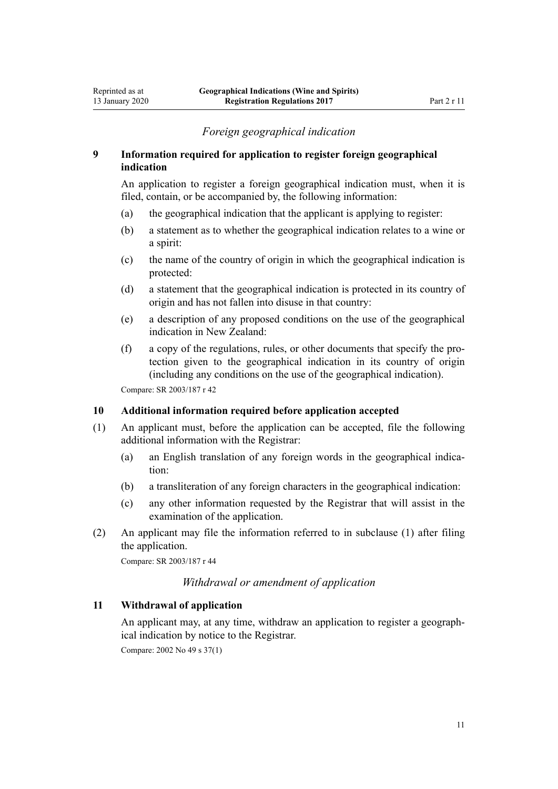# *Foreign geographical indication*

### <span id="page-10-0"></span>**9 Information required for application to register foreign geographical indication**

An application to register a foreign geographical indication must, when it is filed, contain, or be accompanied by, the following information:

- (a) the geographical indication that the applicant is applying to register:
- (b) a statement as to whether the geographical indication relates to a wine or a spirit:
- (c) the name of the country of origin in which the geographical indication is protected:
- (d) a statement that the geographical indication is protected in its country of origin and has not fallen into disuse in that country:
- (e) a description of any proposed conditions on the use of the geographical indication in New Zealand:
- (f) a copy of the regulations, rules, or other documents that specify the protection given to the geographical indication in its country of origin (including any conditions on the use of the geographical indication).

Compare: SR 2003/187 [r 42](http://legislation.govt.nz/pdflink.aspx?id=DLM201969)

## **10 Additional information required before application accepted**

- (1) An applicant must, before the application can be accepted, file the following additional information with the Registrar:
	- (a) an English translation of any foreign words in the geographical indication:
	- (b) a transliteration of any foreign characters in the geographical indication:
	- (c) any other information requested by the Registrar that will assist in the examination of the application.
- (2) An applicant may file the information referred to in subclause (1) after filing the application.

Compare: SR 2003/187 [r 44](http://legislation.govt.nz/pdflink.aspx?id=DLM201971)

# *Withdrawal or amendment of application*

# **11 Withdrawal of application**

An applicant may, at any time, withdraw an application to register a geographical indication by notice to the Registrar.

Compare: 2002 No 49 [s 37\(1\)](http://legislation.govt.nz/pdflink.aspx?id=DLM164499)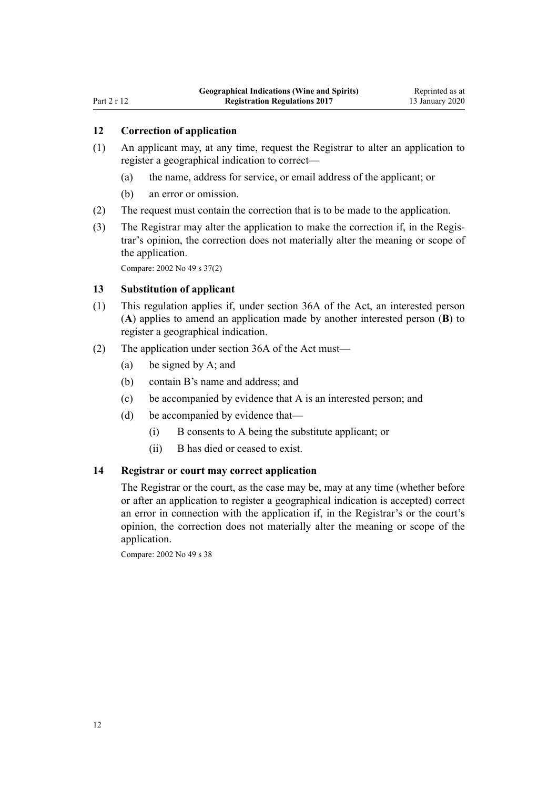# <span id="page-11-0"></span>**12 Correction of application**

- (1) An applicant may, at any time, request the Registrar to alter an application to register a geographical indication to correct—
	- (a) the name, address for service, or email address of the applicant; or
	- (b) an error or omission.
- (2) The request must contain the correction that is to be made to the application.
- (3) The Registrar may alter the application to make the correction if, in the Registrar's opinion, the correction does not materially alter the meaning or scope of the application.

Compare: 2002 No 49 [s 37\(2\)](http://legislation.govt.nz/pdflink.aspx?id=DLM164499)

#### **13 Substitution of applicant**

- (1) This regulation applies if, under [section 36A](http://legislation.govt.nz/pdflink.aspx?id=DLM7050158) of the Act, an interested person (**A**) applies to amend an application made by another interested person (**B**) to register a geographical indication.
- (2) The application under [section 36A](http://legislation.govt.nz/pdflink.aspx?id=DLM7050158) of the Act must—
	- (a) be signed by A; and
	- (b) contain B's name and address; and
	- (c) be accompanied by evidence that A is an interested person; and
	- (d) be accompanied by evidence that—
		- (i) B consents to A being the substitute applicant; or
		- (ii) B has died or ceased to exist.

### **14 Registrar or court may correct application**

The Registrar or the court, as the case may be, may at any time (whether before or after an application to register a geographical indication is accepted) correct an error in connection with the application if, in the Registrar's or the court's opinion, the correction does not materially alter the meaning or scope of the application.

Compare: 2002 No 49 [s 38](http://legislation.govt.nz/pdflink.aspx?id=DLM164601)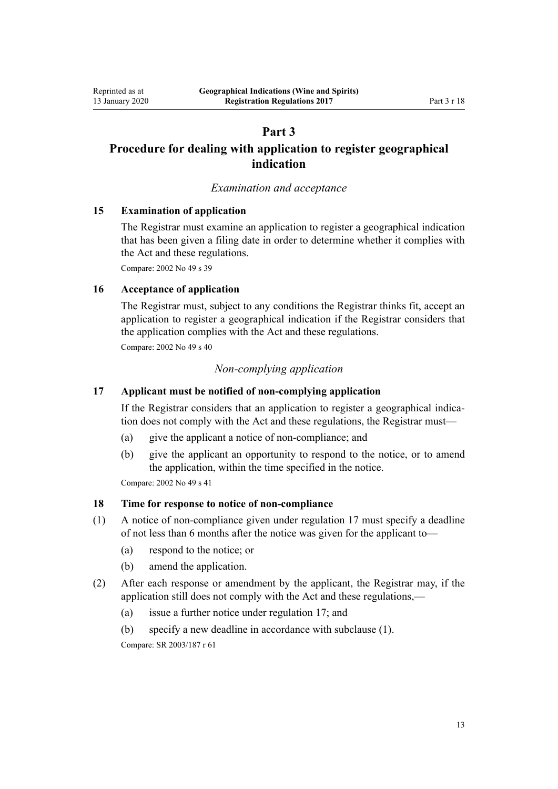# **Part 3**

# <span id="page-12-0"></span>**Procedure for dealing with application to register geographical indication**

### *Examination and acceptance*

# **15 Examination of application**

The Registrar must examine an application to register a geographical indication that has been given a filing date in order to determine whether it complies with the Act and these regulations.

Compare: 2002 No 49 [s 39](http://legislation.govt.nz/pdflink.aspx?id=DLM164603)

### **16 Acceptance of application**

The Registrar must, subject to any conditions the Registrar thinks fit, accept an application to register a geographical indication if the Registrar considers that the application complies with the Act and these regulations.

Compare: 2002 No 49 [s 40](http://legislation.govt.nz/pdflink.aspx?id=DLM164604)

# *Non-complying application*

# **17 Applicant must be notified of non-complying application**

If the Registrar considers that an application to register a geographical indication does not comply with the Act and these regulations, the Registrar must—

- (a) give the applicant a notice of non-compliance; and
- (b) give the applicant an opportunity to respond to the notice, or to amend the application, within the time specified in the notice.

Compare: 2002 No 49 [s 41](http://legislation.govt.nz/pdflink.aspx?id=DLM164605)

# **18 Time for response to notice of non-compliance**

- (1) A notice of non-compliance given under regulation 17 must specify a deadline of not less than 6 months after the notice was given for the applicant to—
	- (a) respond to the notice; or
	- (b) amend the application.
- (2) After each response or amendment by the applicant, the Registrar may, if the application still does not comply with the Act and these regulations,—
	- (a) issue a further notice under regulation 17; and
	- (b) specify a new deadline in accordance with subclause (1).

Compare: SR 2003/187 [r 61](http://legislation.govt.nz/pdflink.aspx?id=DLM201997)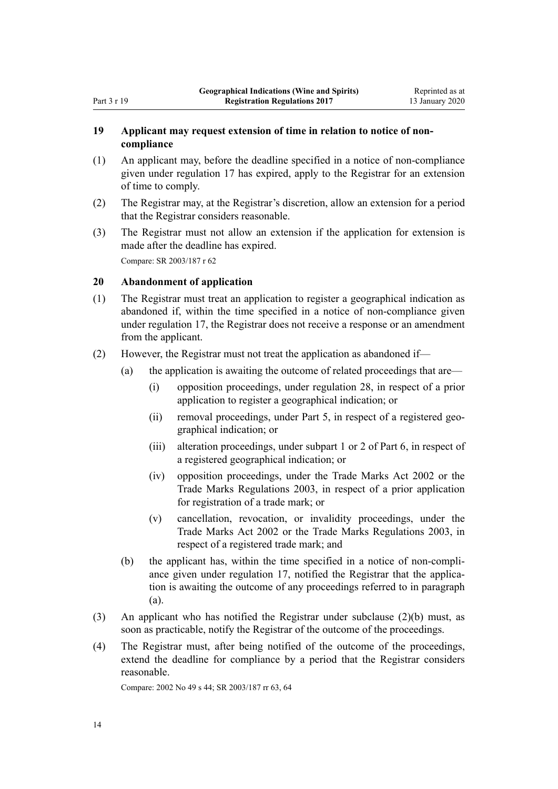# <span id="page-13-0"></span>**19 Applicant may request extension of time in relation to notice of noncompliance**

- (1) An applicant may, before the deadline specified in a notice of non-compliance given under [regulation 17](#page-12-0) has expired, apply to the Registrar for an extension of time to comply.
- (2) The Registrar may, at the Registrar's discretion, allow an extension for a period that the Registrar considers reasonable.
- (3) The Registrar must not allow an extension if the application for extension is made after the deadline has expired. Compare: SR 2003/187 [r 62](http://legislation.govt.nz/pdflink.aspx?id=DLM201998)

# **20 Abandonment of application**

- (1) The Registrar must treat an application to register a geographical indication as abandoned if, within the time specified in a notice of non-compliance given under [regulation 17](#page-12-0), the Registrar does not receive a response or an amendment from the applicant.
- (2) However, the Registrar must not treat the application as abandoned if—
	- (a) the application is awaiting the outcome of related proceedings that are—
		- (i) opposition proceedings, under [regulation 28,](#page-15-0) in respect of a prior application to register a geographical indication; or
		- (ii) removal proceedings, under [Part 5,](#page-19-0) in respect of a registered geographical indication; or
		- (iii) alteration proceedings, under [subpart 1](#page-22-0) or [2](#page-31-0) of Part 6, in respect of a registered geographical indication; or
		- (iv) opposition proceedings, under the [Trade Marks Act 2002](http://legislation.govt.nz/pdflink.aspx?id=DLM164239) or the [Trade Marks Regulations 2003](http://legislation.govt.nz/pdflink.aspx?id=DLM200880), in respect of a prior application for registration of a trade mark; or
		- (v) cancellation, revocation, or invalidity proceedings, under the [Trade Marks Act 2002](http://legislation.govt.nz/pdflink.aspx?id=DLM164239) or the [Trade Marks Regulations 2003](http://legislation.govt.nz/pdflink.aspx?id=DLM200880), in respect of a registered trade mark; and
	- (b) the applicant has, within the time specified in a notice of non-compliance given under [regulation 17](#page-12-0), notified the Registrar that the application is awaiting the outcome of any proceedings referred to in paragraph (a).
- (3) An applicant who has notified the Registrar under subclause (2)(b) must, as soon as practicable, notify the Registrar of the outcome of the proceedings.
- (4) The Registrar must, after being notified of the outcome of the proceedings, extend the deadline for compliance by a period that the Registrar considers reasonable.

Compare: 2002 No 49 [s 44](http://legislation.govt.nz/pdflink.aspx?id=DLM164608); SR 2003/187 [rr 63,](http://legislation.govt.nz/pdflink.aspx?id=DLM201999) [64](http://legislation.govt.nz/pdflink.aspx?id=DLM202300)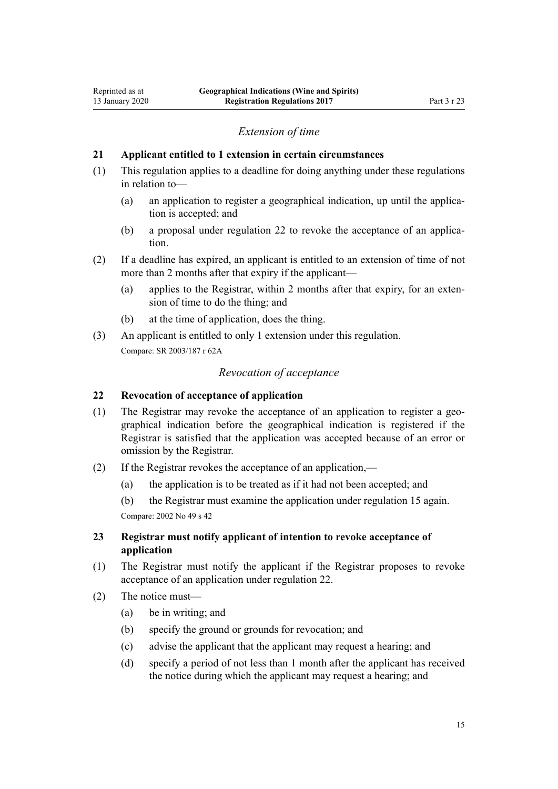### *Extension of time*

### <span id="page-14-0"></span>**21 Applicant entitled to 1 extension in certain circumstances**

- (1) This regulation applies to a deadline for doing anything under these regulations in relation to—
	- (a) an application to register a geographical indication, up until the application is accepted; and
	- (b) a proposal under regulation 22 to revoke the acceptance of an application.
- (2) If a deadline has expired, an applicant is entitled to an extension of time of not more than 2 months after that expiry if the applicant—
	- (a) applies to the Registrar, within 2 months after that expiry, for an extension of time to do the thing; and
	- (b) at the time of application, does the thing.
- (3) An applicant is entitled to only 1 extension under this regulation. Compare: SR 2003/187 [r 62A](http://legislation.govt.nz/pdflink.aspx?id=DLM4926032)

#### *Revocation of acceptance*

# **22 Revocation of acceptance of application**

- (1) The Registrar may revoke the acceptance of an application to register a geographical indication before the geographical indication is registered if the Registrar is satisfied that the application was accepted because of an error or omission by the Registrar.
- (2) If the Registrar revokes the acceptance of an application,—
	- (a) the application is to be treated as if it had not been accepted; and
	- (b) the Registrar must examine the application under regulation 15 again.

Compare: 2002 No 49 [s 42](http://legislation.govt.nz/pdflink.aspx?id=DLM164606)

# **23 Registrar must notify applicant of intention to revoke acceptance of application**

- (1) The Registrar must notify the applicant if the Registrar proposes to revoke acceptance of an application under regulation 22.
- (2) The notice must—
	- (a) be in writing; and
	- (b) specify the ground or grounds for revocation; and
	- (c) advise the applicant that the applicant may request a hearing; and
	- (d) specify a period of not less than 1 month after the applicant has received the notice during which the applicant may request a hearing; and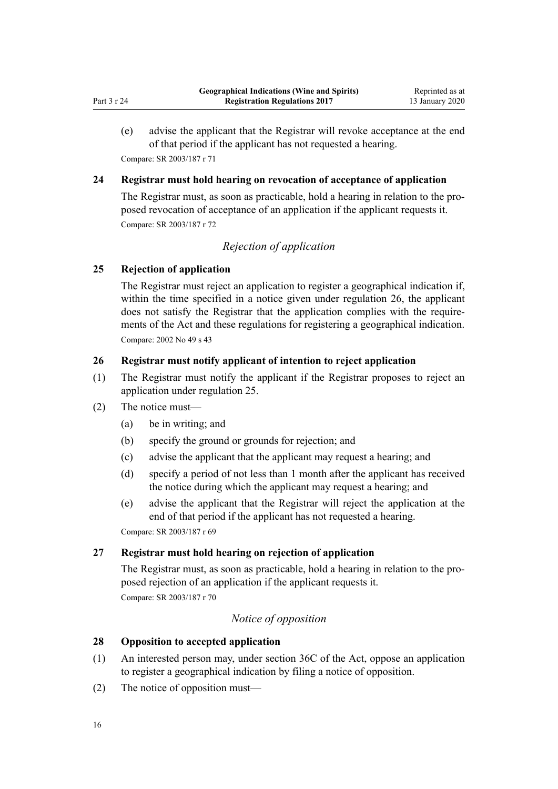<span id="page-15-0"></span>(e) advise the applicant that the Registrar will revoke acceptance at the end of that period if the applicant has not requested a hearing. Compare: SR 2003/187 [r 71](http://legislation.govt.nz/pdflink.aspx?id=DLM202311)

# **24 Registrar must hold hearing on revocation of acceptance of application**

The Registrar must, as soon as practicable, hold a hearing in relation to the proposed revocation of acceptance of an application if the applicant requests it. Compare: SR 2003/187 [r 72](http://legislation.govt.nz/pdflink.aspx?id=DLM202312)

# *Rejection of application*

### **25 Rejection of application**

The Registrar must reject an application to register a geographical indication if, within the time specified in a notice given under regulation 26, the applicant does not satisfy the Registrar that the application complies with the requirements of the Act and these regulations for registering a geographical indication. Compare: 2002 No 49 [s 43](http://legislation.govt.nz/pdflink.aspx?id=DLM164607)

# **26 Registrar must notify applicant of intention to reject application**

- (1) The Registrar must notify the applicant if the Registrar proposes to reject an application under regulation 25.
- (2) The notice must—
	- (a) be in writing; and
	- (b) specify the ground or grounds for rejection; and
	- (c) advise the applicant that the applicant may request a hearing; and
	- (d) specify a period of not less than 1 month after the applicant has received the notice during which the applicant may request a hearing; and
	- (e) advise the applicant that the Registrar will reject the application at the end of that period if the applicant has not requested a hearing.

Compare: SR 2003/187 [r 69](http://legislation.govt.nz/pdflink.aspx?id=DLM202308)

### **27 Registrar must hold hearing on rejection of application**

The Registrar must, as soon as practicable, hold a hearing in relation to the proposed rejection of an application if the applicant requests it. Compare: SR 2003/187 [r 70](http://legislation.govt.nz/pdflink.aspx?id=DLM202309)

# *Notice of opposition*

### **28 Opposition to accepted application**

- (1) An interested person may, under [section 36C](http://legislation.govt.nz/pdflink.aspx?id=DLM7050162) of the Act, oppose an application to register a geographical indication by filing a notice of opposition.
- (2) The notice of opposition must—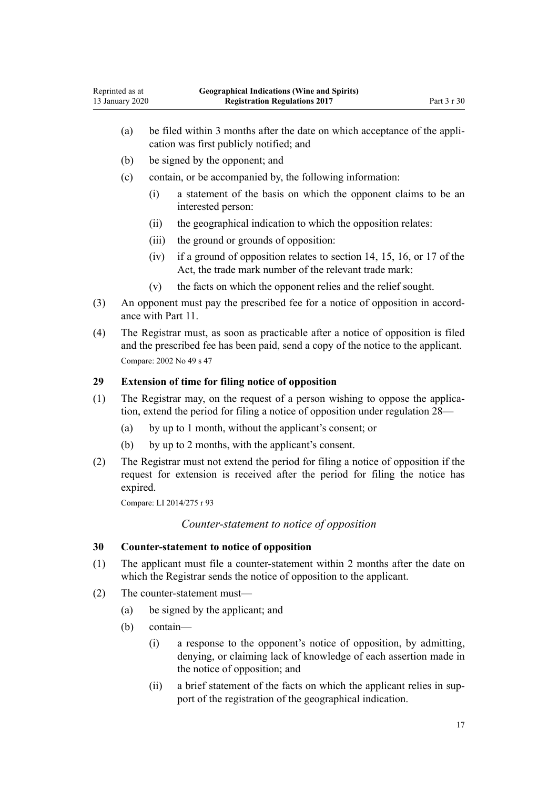- <span id="page-16-0"></span>(a) be filed within 3 months after the date on which acceptance of the application was first publicly notified; and
- (b) be signed by the opponent; and
- (c) contain, or be accompanied by, the following information:
	- (i) a statement of the basis on which the opponent claims to be an interested person:
	- (ii) the geographical indication to which the opposition relates:
	- (iii) the ground or grounds of opposition:
	- (iv) if a ground of opposition relates to [section 14,](http://legislation.govt.nz/pdflink.aspx?id=DLM390831) [15](http://legislation.govt.nz/pdflink.aspx?id=DLM390832), [16,](http://legislation.govt.nz/pdflink.aspx?id=DLM390833) or [17](http://legislation.govt.nz/pdflink.aspx?id=DLM390834) of the Act, the trade mark number of the relevant trade mark:
	- (v) the facts on which the opponent relies and the relief sought.
- (3) An opponent must pay the prescribed fee for a notice of opposition in accordance with [Part 11.](#page-41-0)
- (4) The Registrar must, as soon as practicable after a notice of opposition is filed and the prescribed fee has been paid, send a copy of the notice to the applicant. Compare: 2002 No 49 [s 47](http://legislation.govt.nz/pdflink.aspx?id=DLM164613)

### **29 Extension of time for filing notice of opposition**

- (1) The Registrar may, on the request of a person wishing to oppose the application, extend the period for filing a notice of opposition under [regulation 28—](#page-15-0)
	- (a) by up to 1 month, without the applicant's consent; or
	- (b) by up to 2 months, with the applicant's consent.
- (2) The Registrar must not extend the period for filing a notice of opposition if the request for extension is received after the period for filing the notice has expired.

Compare: LI 2014/275 [r 93](http://legislation.govt.nz/pdflink.aspx?id=DLM6166362)

### *Counter-statement to notice of opposition*

### **30 Counter-statement to notice of opposition**

- (1) The applicant must file a counter-statement within 2 months after the date on which the Registrar sends the notice of opposition to the applicant.
- (2) The counter-statement must—
	- (a) be signed by the applicant; and
	- (b) contain—
		- (i) a response to the opponent's notice of opposition, by admitting, denying, or claiming lack of knowledge of each assertion made in the notice of opposition; and
		- (ii) a brief statement of the facts on which the applicant relies in support of the registration of the geographical indication.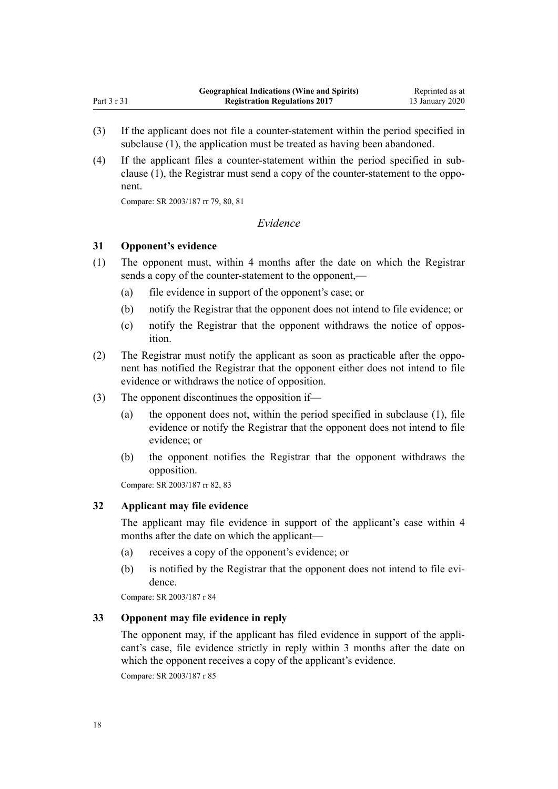- <span id="page-17-0"></span>(3) If the applicant does not file a counter-statement within the period specified in subclause (1), the application must be treated as having been abandoned.
- (4) If the applicant files a counter-statement within the period specified in subclause (1), the Registrar must send a copy of the counter-statement to the opponent.

Compare: SR 2003/187 [rr 79,](http://legislation.govt.nz/pdflink.aspx?id=DLM202322) [80](http://legislation.govt.nz/pdflink.aspx?id=DLM202323), [81](http://legislation.govt.nz/pdflink.aspx?id=DLM202324)

# *Evidence*

### **31 Opponent's evidence**

- (1) The opponent must, within 4 months after the date on which the Registrar sends a copy of the counter-statement to the opponent,—
	- (a) file evidence in support of the opponent's case; or
	- (b) notify the Registrar that the opponent does not intend to file evidence; or
	- (c) notify the Registrar that the opponent withdraws the notice of opposition.
- (2) The Registrar must notify the applicant as soon as practicable after the opponent has notified the Registrar that the opponent either does not intend to file evidence or withdraws the notice of opposition.
- (3) The opponent discontinues the opposition if—
	- (a) the opponent does not, within the period specified in subclause (1), file evidence or notify the Registrar that the opponent does not intend to file evidence; or
	- (b) the opponent notifies the Registrar that the opponent withdraws the opposition.

Compare: SR 2003/187 [rr 82,](http://legislation.govt.nz/pdflink.aspx?id=DLM202326) [83](http://legislation.govt.nz/pdflink.aspx?id=DLM202327)

### **32 Applicant may file evidence**

The applicant may file evidence in support of the applicant's case within 4 months after the date on which the applicant—

- (a) receives a copy of the opponent's evidence; or
- (b) is notified by the Registrar that the opponent does not intend to file evidence.

Compare: SR 2003/187 [r 84](http://legislation.govt.nz/pdflink.aspx?id=DLM202328)

#### **33 Opponent may file evidence in reply**

The opponent may, if the applicant has filed evidence in support of the applicant's case, file evidence strictly in reply within 3 months after the date on which the opponent receives a copy of the applicant's evidence.

Compare: SR 2003/187 [r 85](http://legislation.govt.nz/pdflink.aspx?id=DLM202329)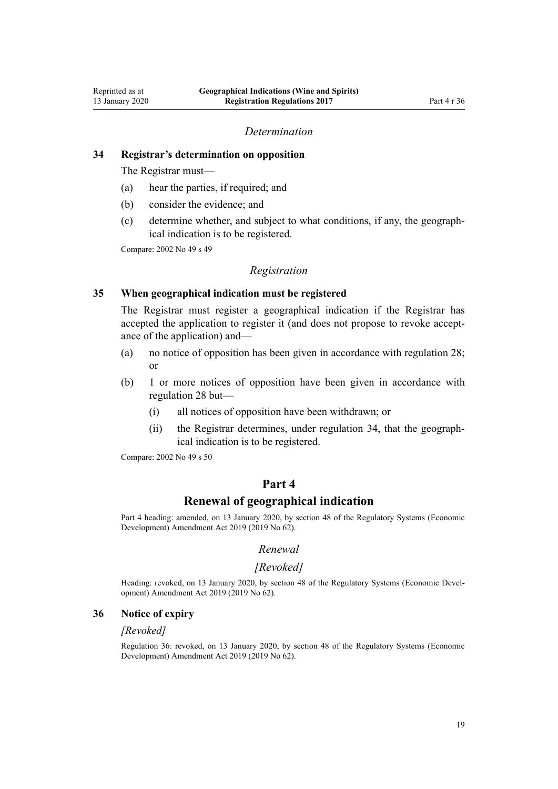#### *Determination*

### <span id="page-18-0"></span>**34 Registrar's determination on opposition**

The Registrar must—

- (a) hear the parties, if required; and
- (b) consider the evidence; and
- (c) determine whether, and subject to what conditions, if any, the geographical indication is to be registered.

Compare: 2002 No 49 [s 49](http://legislation.govt.nz/pdflink.aspx?id=DLM164615)

#### *Registration*

### **35 When geographical indication must be registered**

The Registrar must register a geographical indication if the Registrar has accepted the application to register it (and does not propose to revoke acceptance of the application) and—

- (a) no notice of opposition has been given in accordance with [regulation 28;](#page-15-0) or
- (b) 1 or more notices of opposition have been given in accordance with [regulation 28](#page-15-0) but—
	- (i) all notices of opposition have been withdrawn; or
	- (ii) the Registrar determines, under regulation 34, that the geographical indication is to be registered.

Compare: 2002 No 49 [s 50](http://legislation.govt.nz/pdflink.aspx?id=DLM164617)

# **Part 4**

# **Renewal of geographical indication**

Part 4 heading: amended, on 13 January 2020, by [section 48](http://legislation.govt.nz/pdflink.aspx?id=LMS85618) of the Regulatory Systems (Economic Development) Amendment Act 2019 (2019 No 62).

### *Renewal*

#### *[Revoked]*

Heading: revoked, on 13 January 2020, by [section 48](http://legislation.govt.nz/pdflink.aspx?id=LMS85618) of the Regulatory Systems (Economic Development) Amendment Act 2019 (2019 No 62).

#### **36 Notice of expiry**

#### *[Revoked]*

Regulation 36: revoked, on 13 January 2020, by [section 48](http://legislation.govt.nz/pdflink.aspx?id=LMS85618) of the Regulatory Systems (Economic Development) Amendment Act 2019 (2019 No 62).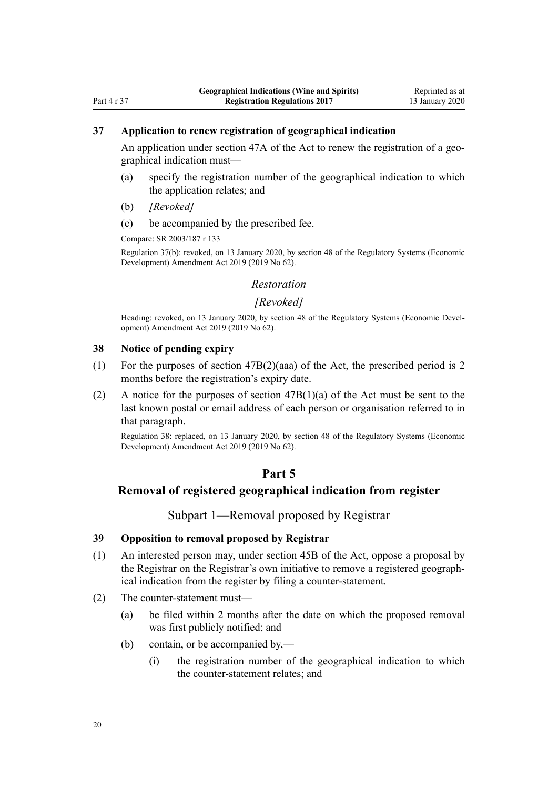# <span id="page-19-0"></span>**37 Application to renew registration of geographical indication**

An application under [section 47A](http://legislation.govt.nz/pdflink.aspx?id=DLM7051601) of the Act to renew the registration of a geographical indication must—

- (a) specify the registration number of the geographical indication to which the application relates; and
- (b) *[Revoked]*
- (c) be accompanied by the prescribed fee.

Compare: SR 2003/187 [r 133](http://legislation.govt.nz/pdflink.aspx?id=DLM202399)

Regulation 37(b): revoked, on 13 January 2020, by [section 48](http://legislation.govt.nz/pdflink.aspx?id=LMS85618) of the Regulatory Systems (Economic Development) Amendment Act 2019 (2019 No 62).

### *Restoration*

### *[Revoked]*

Heading: revoked, on 13 January 2020, by [section 48](http://legislation.govt.nz/pdflink.aspx?id=LMS85618) of the Regulatory Systems (Economic Development) Amendment Act 2019 (2019 No 62).

#### **38 Notice of pending expiry**

- (1) For the purposes of [section 47B\(2\)\(aaa\)](http://legislation.govt.nz/pdflink.aspx?id=DLM7051603) of the Act, the prescribed period is 2 months before the registration's expiry date.
- (2) A notice for the purposes of section  $47B(1)(a)$  of the Act must be sent to the last known postal or email address of each person or organisation referred to in that paragraph.

Regulation 38: replaced, on 13 January 2020, by [section 48](http://legislation.govt.nz/pdflink.aspx?id=LMS85618) of the Regulatory Systems (Economic Development) Amendment Act 2019 (2019 No 62).

# **Part 5**

# **Removal of registered geographical indication from register**

Subpart 1—Removal proposed by Registrar

# **39 Opposition to removal proposed by Registrar**

- (1) An interested person may, under [section 45B](http://legislation.govt.nz/pdflink.aspx?id=DLM7050180) of the Act, oppose a proposal by the Registrar on the Registrar's own initiative to remove a registered geographical indication from the register by filing a counter-statement.
- (2) The counter-statement must—
	- (a) be filed within 2 months after the date on which the proposed removal was first publicly notified; and
	- (b) contain, or be accompanied by,—
		- (i) the registration number of the geographical indication to which the counter-statement relates; and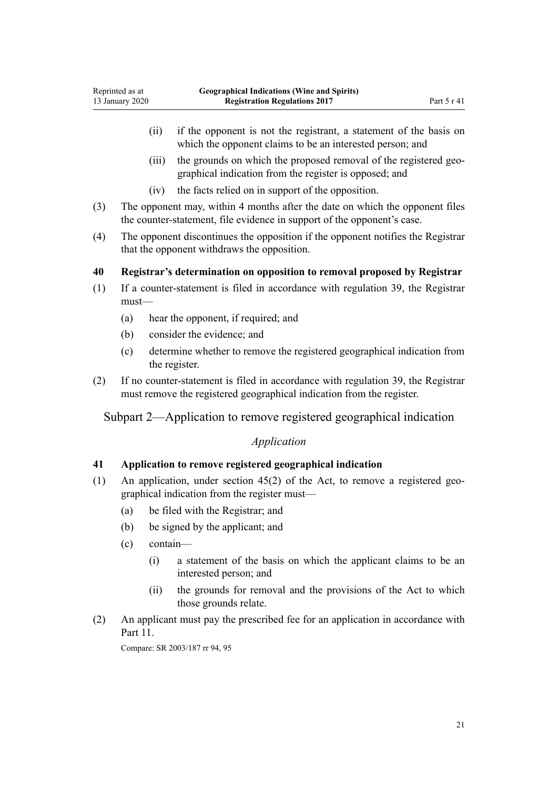- <span id="page-20-0"></span>(ii) if the opponent is not the registrant, a statement of the basis on which the opponent claims to be an interested person; and
- (iii) the grounds on which the proposed removal of the registered geographical indication from the register is opposed; and
- (iv) the facts relied on in support of the opposition.
- (3) The opponent may, within 4 months after the date on which the opponent files the counter-statement, file evidence in support of the opponent's case.
- (4) The opponent discontinues the opposition if the opponent notifies the Registrar that the opponent withdraws the opposition.

# **40 Registrar's determination on opposition to removal proposed by Registrar**

- (1) If a counter-statement is filed in accordance with [regulation 39,](#page-19-0) the Registrar must—
	- (a) hear the opponent, if required; and
	- (b) consider the evidence; and
	- (c) determine whether to remove the registered geographical indication from the register.
- (2) If no counter-statement is filed in accordance with [regulation 39,](#page-19-0) the Registrar must remove the registered geographical indication from the register.

Subpart 2—Application to remove registered geographical indication

# *Application*

### **41 Application to remove registered geographical indication**

- (1) An application, under [section 45\(2\)](http://legislation.govt.nz/pdflink.aspx?id=DLM390872) of the Act, to remove a registered geographical indication from the register must—
	- (a) be filed with the Registrar; and
	- (b) be signed by the applicant; and
	- (c) contain—
		- (i) a statement of the basis on which the applicant claims to be an interested person; and
		- (ii) the grounds for removal and the provisions of the Act to which those grounds relate.
- (2) An applicant must pay the prescribed fee for an application in accordance with [Part 11.](#page-41-0)

Compare: SR 2003/187 [rr 94,](http://legislation.govt.nz/pdflink.aspx?id=DLM202343) [95](http://legislation.govt.nz/pdflink.aspx?id=DLM202344)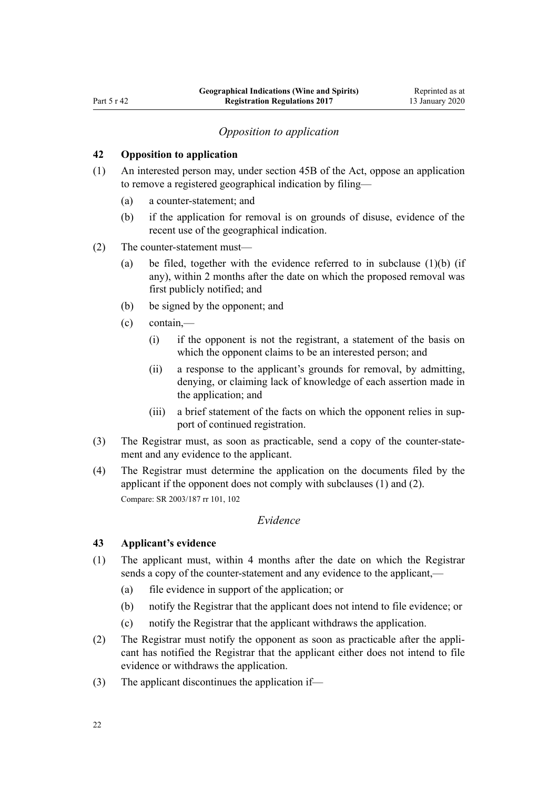### *Opposition to application*

# <span id="page-21-0"></span>**42 Opposition to application**

- (1) An interested person may, under [section 45B](http://legislation.govt.nz/pdflink.aspx?id=DLM7050180) of the Act, oppose an application to remove a registered geographical indication by filing—
	- (a) a counter-statement; and
	- (b) if the application for removal is on grounds of disuse, evidence of the recent use of the geographical indication.
- (2) The counter-statement must—
	- (a) be filed, together with the evidence referred to in subclause  $(1)(b)$  (if any), within 2 months after the date on which the proposed removal was first publicly notified; and
	- (b) be signed by the opponent; and
	- (c) contain,—
		- (i) if the opponent is not the registrant, a statement of the basis on which the opponent claims to be an interested person; and
		- (ii) a response to the applicant's grounds for removal, by admitting, denying, or claiming lack of knowledge of each assertion made in the application; and
		- (iii) a brief statement of the facts on which the opponent relies in support of continued registration.
- (3) The Registrar must, as soon as practicable, send a copy of the counter-statement and any evidence to the applicant.
- (4) The Registrar must determine the application on the documents filed by the applicant if the opponent does not comply with subclauses (1) and (2). Compare: SR 2003/187 [rr 101](http://legislation.govt.nz/pdflink.aspx?id=DLM202353), [102](http://legislation.govt.nz/pdflink.aspx?id=DLM202354)

# *Evidence*

# **43 Applicant's evidence**

- (1) The applicant must, within 4 months after the date on which the Registrar sends a copy of the counter-statement and any evidence to the applicant,—
	- (a) file evidence in support of the application; or
	- (b) notify the Registrar that the applicant does not intend to file evidence; or
	- (c) notify the Registrar that the applicant withdraws the application.
- (2) The Registrar must notify the opponent as soon as practicable after the applicant has notified the Registrar that the applicant either does not intend to file evidence or withdraws the application.
- (3) The applicant discontinues the application if—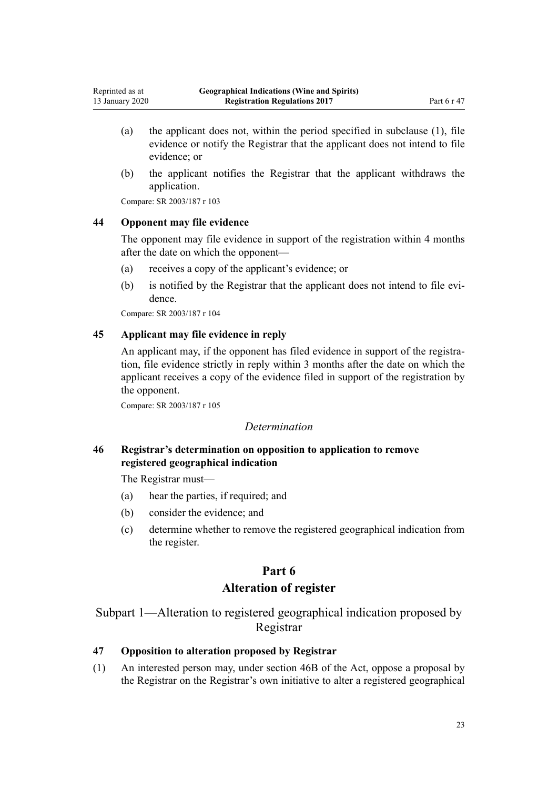- (a) the applicant does not, within the period specified in subclause (1), file evidence or notify the Registrar that the applicant does not intend to file evidence; or
- (b) the applicant notifies the Registrar that the applicant withdraws the application.

Compare: SR 2003/187 [r 103](http://legislation.govt.nz/pdflink.aspx?id=DLM202356)

<span id="page-22-0"></span>Reprinted as at 13 January 2020

# **44 Opponent may file evidence**

The opponent may file evidence in support of the registration within 4 months after the date on which the opponent—

- (a) receives a copy of the applicant's evidence; or
- (b) is notified by the Registrar that the applicant does not intend to file evidence.

Compare: SR 2003/187 [r 104](http://legislation.govt.nz/pdflink.aspx?id=DLM202357)

### **45 Applicant may file evidence in reply**

An applicant may, if the opponent has filed evidence in support of the registration, file evidence strictly in reply within 3 months after the date on which the applicant receives a copy of the evidence filed in support of the registration by the opponent.

Compare: SR 2003/187 [r 105](http://legislation.govt.nz/pdflink.aspx?id=DLM202358)

#### *Determination*

**46 Registrar's determination on opposition to application to remove registered geographical indication**

The Registrar must—

- (a) hear the parties, if required; and
- (b) consider the evidence; and
- (c) determine whether to remove the registered geographical indication from the register.

### **Part 6**

# **Alteration of register**

Subpart 1—Alteration to registered geographical indication proposed by Registrar

# **47 Opposition to alteration proposed by Registrar**

(1) An interested person may, under [section 46B](http://legislation.govt.nz/pdflink.aspx?id=DLM7050190) of the Act, oppose a proposal by the Registrar on the Registrar's own initiative to alter a registered geographical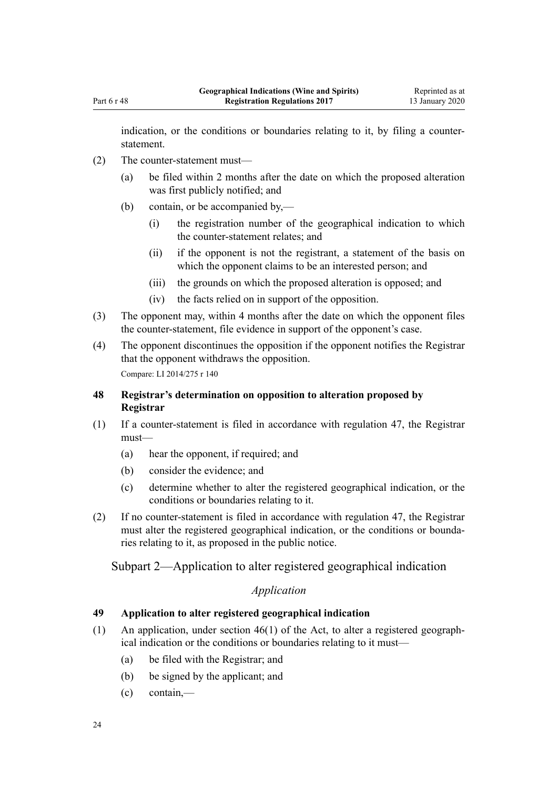<span id="page-23-0"></span>indication, or the conditions or boundaries relating to it, by filing a counterstatement.

- (2) The counter-statement must—
	- (a) be filed within 2 months after the date on which the proposed alteration was first publicly notified; and
	- (b) contain, or be accompanied by,—
		- (i) the registration number of the geographical indication to which the counter-statement relates; and
		- (ii) if the opponent is not the registrant, a statement of the basis on which the opponent claims to be an interested person; and
		- (iii) the grounds on which the proposed alteration is opposed; and
		- (iv) the facts relied on in support of the opposition.
- (3) The opponent may, within 4 months after the date on which the opponent files the counter-statement, file evidence in support of the opponent's case.
- (4) The opponent discontinues the opposition if the opponent notifies the Registrar that the opponent withdraws the opposition.

Compare: LI 2014/275 [r 140](http://legislation.govt.nz/pdflink.aspx?id=DLM6207226)

# **48 Registrar's determination on opposition to alteration proposed by Registrar**

- (1) If a counter-statement is filed in accordance with [regulation 47,](#page-22-0) the Registrar must—
	- (a) hear the opponent, if required; and
	- (b) consider the evidence; and
	- (c) determine whether to alter the registered geographical indication, or the conditions or boundaries relating to it.
- (2) If no counter-statement is filed in accordance with [regulation 47,](#page-22-0) the Registrar must alter the registered geographical indication, or the conditions or boundaries relating to it, as proposed in the public notice.

# Subpart 2—Application to alter registered geographical indication

# *Application*

# **49 Application to alter registered geographical indication**

- (1) An application, under [section 46\(1\)](http://legislation.govt.nz/pdflink.aspx?id=DLM390873) of the Act, to alter a registered geographical indication or the conditions or boundaries relating to it must—
	- (a) be filed with the Registrar; and
	- (b) be signed by the applicant; and
	- (c) contain,—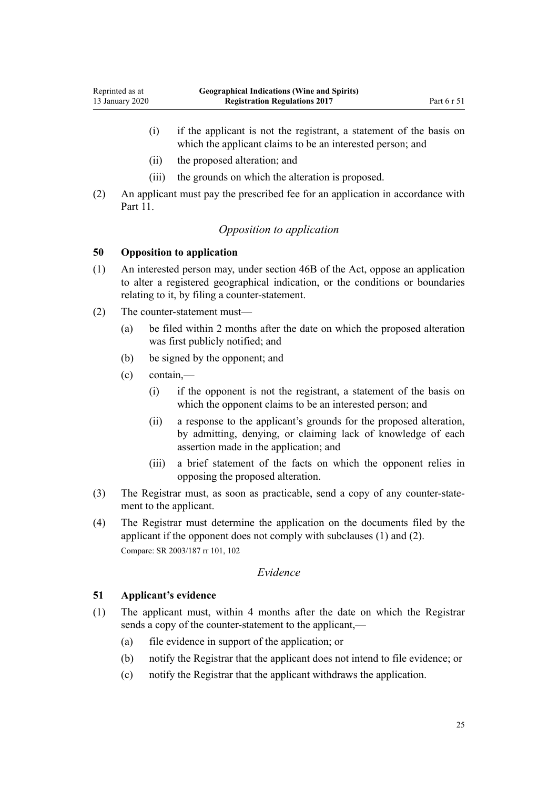- <span id="page-24-0"></span>(i) if the applicant is not the registrant, a statement of the basis on which the applicant claims to be an interested person; and
- (ii) the proposed alteration; and
- (iii) the grounds on which the alteration is proposed.
- (2) An applicant must pay the prescribed fee for an application in accordance with Part 11

# *Opposition to application*

### **50 Opposition to application**

- (1) An interested person may, under [section 46B](http://legislation.govt.nz/pdflink.aspx?id=DLM7050190) of the Act, oppose an application to alter a registered geographical indication, or the conditions or boundaries relating to it, by filing a counter-statement.
- (2) The counter-statement must—
	- (a) be filed within 2 months after the date on which the proposed alteration was first publicly notified; and
	- (b) be signed by the opponent; and
	- (c) contain,—
		- (i) if the opponent is not the registrant, a statement of the basis on which the opponent claims to be an interested person; and
		- (ii) a response to the applicant's grounds for the proposed alteration, by admitting, denying, or claiming lack of knowledge of each assertion made in the application; and
		- (iii) a brief statement of the facts on which the opponent relies in opposing the proposed alteration.
- (3) The Registrar must, as soon as practicable, send a copy of any counter-statement to the applicant.
- (4) The Registrar must determine the application on the documents filed by the applicant if the opponent does not comply with subclauses (1) and (2). Compare: SR 2003/187 [rr 101](http://legislation.govt.nz/pdflink.aspx?id=DLM202353), [102](http://legislation.govt.nz/pdflink.aspx?id=DLM202354)

# *Evidence*

### **51 Applicant's evidence**

- (1) The applicant must, within 4 months after the date on which the Registrar sends a copy of the counter-statement to the applicant,—
	- (a) file evidence in support of the application; or
	- (b) notify the Registrar that the applicant does not intend to file evidence; or
	- (c) notify the Registrar that the applicant withdraws the application.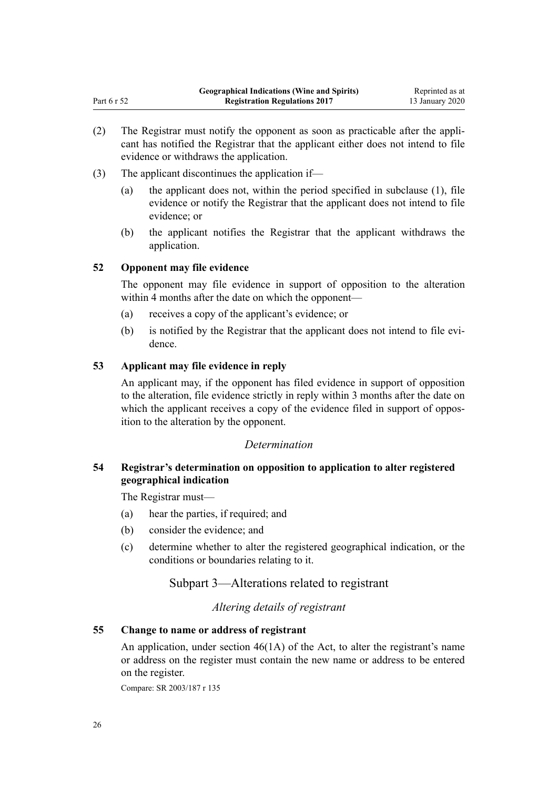- (2) The Registrar must notify the opponent as soon as practicable after the applicant has notified the Registrar that the applicant either does not intend to file evidence or withdraws the application.
- (3) The applicant discontinues the application if—
	- (a) the applicant does not, within the period specified in subclause (1), file evidence or notify the Registrar that the applicant does not intend to file evidence; or
	- (b) the applicant notifies the Registrar that the applicant withdraws the application.

# **52 Opponent may file evidence**

<span id="page-25-0"></span>Part 6 r 52

The opponent may file evidence in support of opposition to the alteration within 4 months after the date on which the opponent—

- (a) receives a copy of the applicant's evidence; or
- (b) is notified by the Registrar that the applicant does not intend to file evidence.

# **53 Applicant may file evidence in reply**

An applicant may, if the opponent has filed evidence in support of opposition to the alteration, file evidence strictly in reply within 3 months after the date on which the applicant receives a copy of the evidence filed in support of opposition to the alteration by the opponent.

### *Determination*

# **54 Registrar's determination on opposition to application to alter registered geographical indication**

The Registrar must—

- (a) hear the parties, if required; and
- (b) consider the evidence; and
- (c) determine whether to alter the registered geographical indication, or the conditions or boundaries relating to it.

# Subpart 3—Alterations related to registrant

### *Altering details of registrant*

# **55 Change to name or address of registrant**

An application, under [section 46\(1A\)](http://legislation.govt.nz/pdflink.aspx?id=DLM390873) of the Act, to alter the registrant's name or address on the register must contain the new name or address to be entered on the register.

Compare: SR 2003/187 [r 135](http://legislation.govt.nz/pdflink.aspx?id=DLM202803)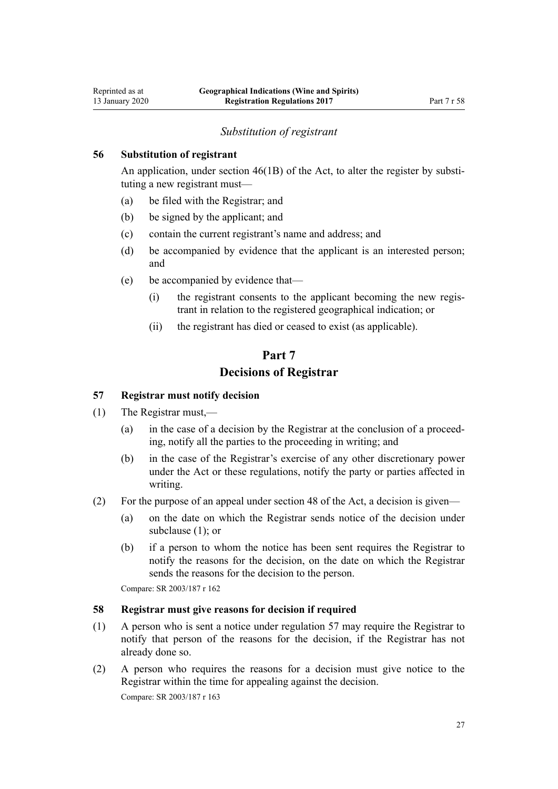### *Substitution of registrant*

### <span id="page-26-0"></span>**56 Substitution of registrant**

An application, under [section 46\(1B\)](http://legislation.govt.nz/pdflink.aspx?id=DLM390873) of the Act, to alter the register by substituting a new registrant must—

- (a) be filed with the Registrar; and
- (b) be signed by the applicant; and
- (c) contain the current registrant's name and address; and
- (d) be accompanied by evidence that the applicant is an interested person; and
- (e) be accompanied by evidence that—
	- (i) the registrant consents to the applicant becoming the new registrant in relation to the registered geographical indication; or
	- (ii) the registrant has died or ceased to exist (as applicable).

# **Part 7 Decisions of Registrar**

# **57 Registrar must notify decision**

- (1) The Registrar must,—
	- (a) in the case of a decision by the Registrar at the conclusion of a proceeding, notify all the parties to the proceeding in writing; and
	- (b) in the case of the Registrar's exercise of any other discretionary power under the Act or these regulations, notify the party or parties affected in writing.
- (2) For the purpose of an appeal under [section 48](http://legislation.govt.nz/pdflink.aspx?id=DLM390876) of the Act, a decision is given—
	- (a) on the date on which the Registrar sends notice of the decision under subclause (1); or
	- (b) if a person to whom the notice has been sent requires the Registrar to notify the reasons for the decision, on the date on which the Registrar sends the reasons for the decision to the person.

Compare: SR 2003/187 [r 162](http://legislation.govt.nz/pdflink.aspx?id=DLM202840)

### **58 Registrar must give reasons for decision if required**

- (1) A person who is sent a notice under regulation 57 may require the Registrar to notify that person of the reasons for the decision, if the Registrar has not already done so.
- (2) A person who requires the reasons for a decision must give notice to the Registrar within the time for appealing against the decision.

Compare: SR 2003/187 [r 163](http://legislation.govt.nz/pdflink.aspx?id=DLM202841)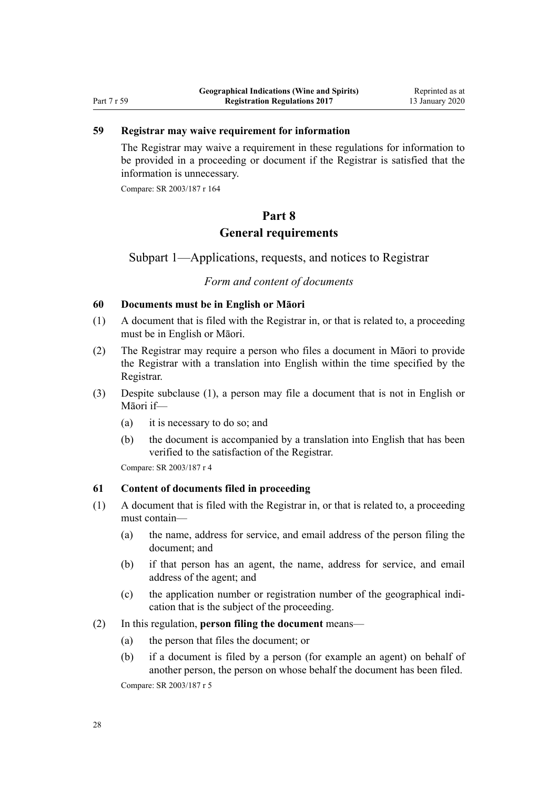# <span id="page-27-0"></span>Part 7 r 59

# **59 Registrar may waive requirement for information**

The Registrar may waive a requirement in these regulations for information to be provided in a proceeding or document if the Registrar is satisfied that the information is unnecessary.

Compare: SR 2003/187 [r 164](http://legislation.govt.nz/pdflink.aspx?id=DLM202842)

# **Part 8 General requirements**

Subpart 1—Applications, requests, and notices to Registrar

# *Form and content of documents*

#### **60 Documents must be in English or Māori**

- (1) A document that is filed with the Registrar in, or that is related to, a proceeding must be in English or Māori.
- (2) The Registrar may require a person who files a document in Māori to provide the Registrar with a translation into English within the time specified by the Registrar.
- (3) Despite subclause (1), a person may file a document that is not in English or Māori if—
	- (a) it is necessary to do so; and
	- (b) the document is accompanied by a translation into English that has been verified to the satisfaction of the Registrar.

Compare: SR 2003/187 [r 4](http://legislation.govt.nz/pdflink.aspx?id=DLM201914)

# **61 Content of documents filed in proceeding**

- (1) A document that is filed with the Registrar in, or that is related to, a proceeding must contain—
	- (a) the name, address for service, and email address of the person filing the document; and
	- (b) if that person has an agent, the name, address for service, and email address of the agent; and
	- (c) the application number or registration number of the geographical indication that is the subject of the proceeding.
- (2) In this regulation, **person filing the document** means—
	- (a) the person that files the document; or
	- (b) if a document is filed by a person (for example an agent) on behalf of another person, the person on whose behalf the document has been filed. Compare: SR 2003/187 [r 5](http://legislation.govt.nz/pdflink.aspx?id=DLM201915)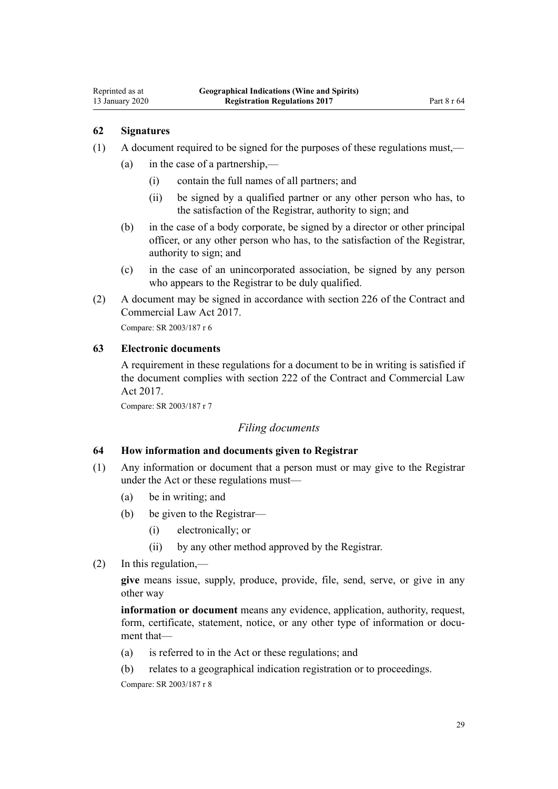# **62 Signatures**

<span id="page-28-0"></span>Reprinted as at 13 January 2020

- (1) A document required to be signed for the purposes of these regulations must,—
	- (a) in the case of a partnership,—
		- (i) contain the full names of all partners; and
		- (ii) be signed by a qualified partner or any other person who has, to the satisfaction of the Registrar, authority to sign; and
	- (b) in the case of a body corporate, be signed by a director or other principal officer, or any other person who has, to the satisfaction of the Registrar, authority to sign; and
	- (c) in the case of an unincorporated association, be signed by any person who appears to the Registrar to be duly qualified.
- (2) A document may be signed in accordance with [section 226](http://legislation.govt.nz/pdflink.aspx?id=DLM6844474) of the Contract and Commercial Law Act 2017.

Compare: SR 2003/187 [r 6](http://legislation.govt.nz/pdflink.aspx?id=DLM201916)

# **63 Electronic documents**

A requirement in these regulations for a document to be in writing is satisfied if the document complies with [section 222](http://legislation.govt.nz/pdflink.aspx?id=DLM6844469) of the Contract and Commercial Law Act 2017.

Compare: SR 2003/187 [r 7](http://legislation.govt.nz/pdflink.aspx?id=DLM201917)

# *Filing documents*

### **64 How information and documents given to Registrar**

- (1) Any information or document that a person must or may give to the Registrar under the Act or these regulations must—
	- (a) be in writing; and
	- (b) be given to the Registrar—
		- (i) electronically; or
		- (ii) by any other method approved by the Registrar.
- (2) In this regulation,—

**give** means issue, supply, produce, provide, file, send, serve, or give in any other way

**information or document** means any evidence, application, authority, request, form, certificate, statement, notice, or any other type of information or document that—

- (a) is referred to in the Act or these regulations; and
- (b) relates to a geographical indication registration or to proceedings.

Compare: SR 2003/187 [r 8](http://legislation.govt.nz/pdflink.aspx?id=DLM201919)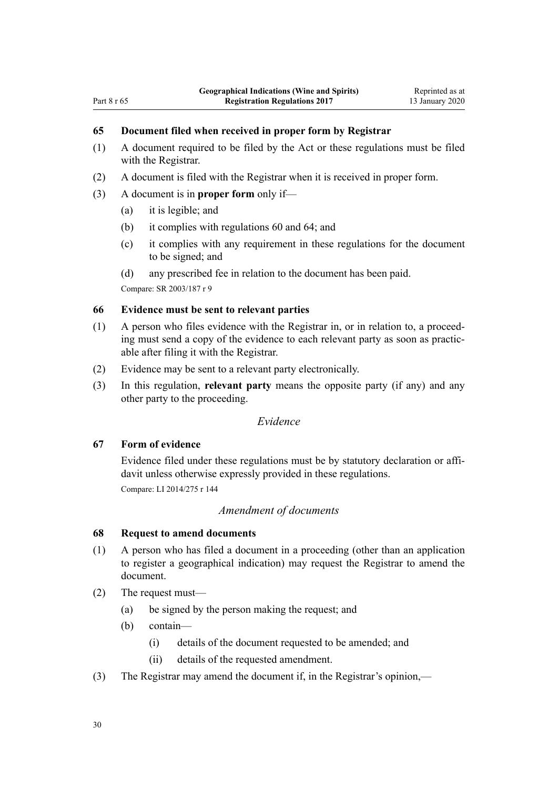# <span id="page-29-0"></span>**65 Document filed when received in proper form by Registrar**

- (1) A document required to be filed by the Act or these regulations must be filed with the Registrar.
- (2) A document is filed with the Registrar when it is received in proper form.
- (3) A document is in **proper form** only if—
	- (a) it is legible; and
	- (b) it complies with [regulations 60](#page-27-0) and [64;](#page-28-0) and
	- (c) it complies with any requirement in these regulations for the document to be signed; and
	- (d) any prescribed fee in relation to the document has been paid.

Compare: SR 2003/187 [r 9](http://legislation.govt.nz/pdflink.aspx?id=DLM201920)

#### **66 Evidence must be sent to relevant parties**

- (1) A person who files evidence with the Registrar in, or in relation to, a proceeding must send a copy of the evidence to each relevant party as soon as practicable after filing it with the Registrar.
- (2) Evidence may be sent to a relevant party electronically.
- (3) In this regulation, **relevant party** means the opposite party (if any) and any other party to the proceeding.

# *Evidence*

# **67 Form of evidence**

Evidence filed under these regulations must be by statutory declaration or affidavit unless otherwise expressly provided in these regulations. Compare: LI 2014/275 [r 144](http://legislation.govt.nz/pdflink.aspx?id=DLM6166434)

# *Amendment of documents*

### **68 Request to amend documents**

- (1) A person who has filed a document in a proceeding (other than an application to register a geographical indication) may request the Registrar to amend the document.
- (2) The request must—
	- (a) be signed by the person making the request; and
	- (b) contain—
		- (i) details of the document requested to be amended; and
		- (ii) details of the requested amendment.
- (3) The Registrar may amend the document if, in the Registrar's opinion,—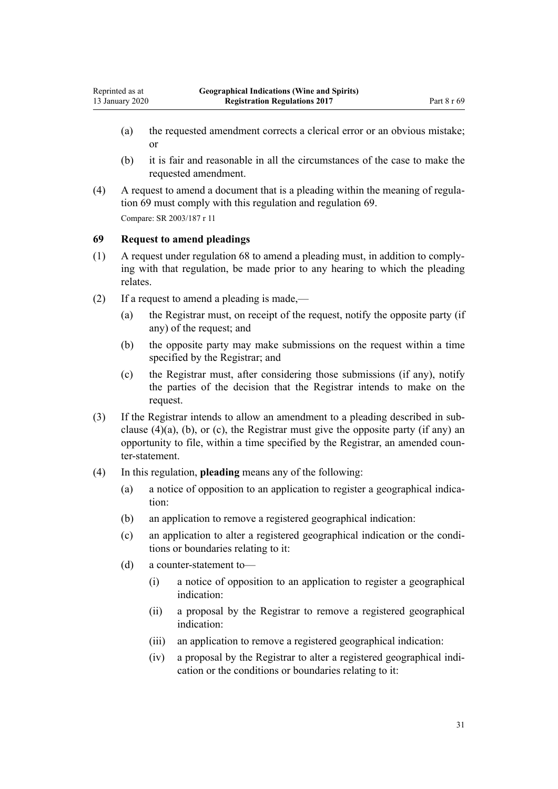- <span id="page-30-0"></span>(a) the requested amendment corrects a clerical error or an obvious mistake; or
- (b) it is fair and reasonable in all the circumstances of the case to make the requested amendment.
- (4) A request to amend a document that is a pleading within the meaning of regulation 69 must comply with this regulation and regulation 69. Compare: SR 2003/187 [r 11](http://legislation.govt.nz/pdflink.aspx?id=DLM201923)

# **69 Request to amend pleadings**

- (1) A request under regulation 68 to amend a pleading must, in addition to complying with that regulation, be made prior to any hearing to which the pleading relates.
- (2) If a request to amend a pleading is made,—
	- (a) the Registrar must, on receipt of the request, notify the opposite party (if any) of the request; and
	- (b) the opposite party may make submissions on the request within a time specified by the Registrar; and
	- (c) the Registrar must, after considering those submissions (if any), notify the parties of the decision that the Registrar intends to make on the request.
- (3) If the Registrar intends to allow an amendment to a pleading described in subclause  $(4)(a)$ ,  $(b)$ , or  $(c)$ , the Registrar must give the opposite party  $(i\hat{f}$  any) an opportunity to file, within a time specified by the Registrar, an amended counter-statement.
- (4) In this regulation, **pleading** means any of the following:
	- (a) a notice of opposition to an application to register a geographical indication:
	- (b) an application to remove a registered geographical indication:
	- (c) an application to alter a registered geographical indication or the conditions or boundaries relating to it:
	- (d) a counter-statement to—
		- (i) a notice of opposition to an application to register a geographical indication:
		- (ii) a proposal by the Registrar to remove a registered geographical indication:
		- (iii) an application to remove a registered geographical indication:
		- (iv) a proposal by the Registrar to alter a registered geographical indication or the conditions or boundaries relating to it: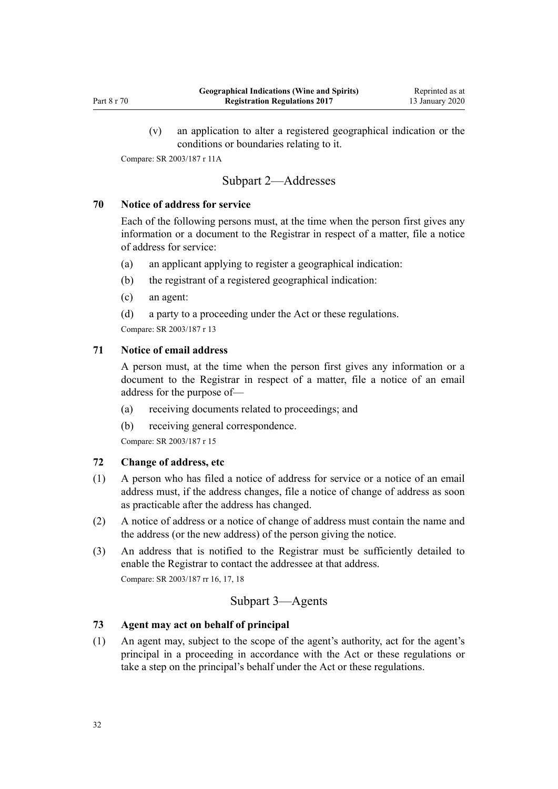<span id="page-31-0"></span>(v) an application to alter a registered geographical indication or the conditions or boundaries relating to it.

Compare: SR 2003/187 [r 11A](http://legislation.govt.nz/pdflink.aspx?id=DLM5164604)

# Subpart 2—Addresses

# **70 Notice of address for service**

Each of the following persons must, at the time when the person first gives any information or a document to the Registrar in respect of a matter, file a notice of address for service:

- (a) an applicant applying to register a geographical indication:
- (b) the registrant of a registered geographical indication:
- (c) an agent:

(d) a party to a proceeding under the Act or these regulations. Compare: SR 2003/187 [r 13](http://legislation.govt.nz/pdflink.aspx?id=DLM201927)

# **71 Notice of email address**

A person must, at the time when the person first gives any information or a document to the Registrar in respect of a matter, file a notice of an email address for the purpose of—

- (a) receiving documents related to proceedings; and
- (b) receiving general correspondence.

Compare: SR 2003/187 [r 15](http://legislation.govt.nz/pdflink.aspx?id=DLM201929)

### **72 Change of address, etc**

- (1) A person who has filed a notice of address for service or a notice of an email address must, if the address changes, file a notice of change of address as soon as practicable after the address has changed.
- (2) A notice of address or a notice of change of address must contain the name and the address (or the new address) of the person giving the notice.
- (3) An address that is notified to the Registrar must be sufficiently detailed to enable the Registrar to contact the addressee at that address. Compare: SR 2003/187 [rr 16,](http://legislation.govt.nz/pdflink.aspx?id=DLM201930) [17](http://legislation.govt.nz/pdflink.aspx?id=DLM201931), [18](http://legislation.govt.nz/pdflink.aspx?id=DLM201932)

# Subpart 3—Agents

### **73 Agent may act on behalf of principal**

(1) An agent may, subject to the scope of the agent's authority, act for the agent's principal in a proceeding in accordance with the Act or these regulations or take a step on the principal's behalf under the Act or these regulations.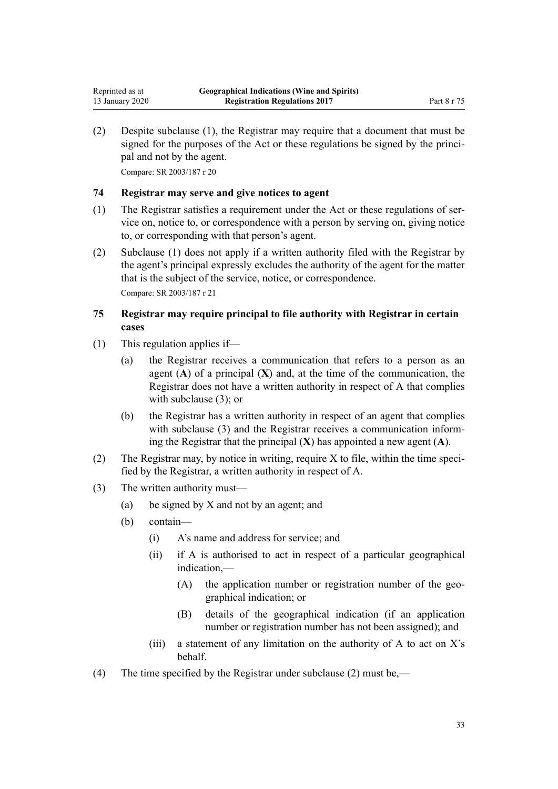<span id="page-32-0"></span>(2) Despite subclause (1), the Registrar may require that a document that must be signed for the purposes of the Act or these regulations be signed by the principal and not by the agent.

Compare: SR 2003/187 [r 20](http://legislation.govt.nz/pdflink.aspx?id=DLM201936)

# **74 Registrar may serve and give notices to agent**

- (1) The Registrar satisfies a requirement under the Act or these regulations of service on, notice to, or correspondence with a person by serving on, giving notice to, or corresponding with that person's agent.
- (2) Subclause (1) does not apply if a written authority filed with the Registrar by the agent's principal expressly excludes the authority of the agent for the matter that is the subject of the service, notice, or correspondence. Compare: SR 2003/187 [r 21](http://legislation.govt.nz/pdflink.aspx?id=DLM201937)

# **75 Registrar may require principal to file authority with Registrar in certain cases**

- (1) This regulation applies if—
	- (a) the Registrar receives a communication that refers to a person as an agent  $(A)$  of a principal  $(X)$  and, at the time of the communication, the Registrar does not have a written authority in respect of A that complies with subclause (3); or
	- (b) the Registrar has a written authority in respect of an agent that complies with subclause (3) and the Registrar receives a communication informing the Registrar that the principal (**X**) has appointed a new agent (**A**).
- (2) The Registrar may, by notice in writing, require X to file, within the time specified by the Registrar, a written authority in respect of A.
- (3) The written authority must—
	- (a) be signed by X and not by an agent; and
	- (b) contain—
		- (i) A's name and address for service; and
		- (ii) if A is authorised to act in respect of a particular geographical indication,—
			- (A) the application number or registration number of the geographical indication; or
			- (B) details of the geographical indication (if an application number or registration number has not been assigned); and
		- (iii) a statement of any limitation on the authority of A to act on  $X$ 's behalf.
- (4) The time specified by the Registrar under subclause (2) must be,—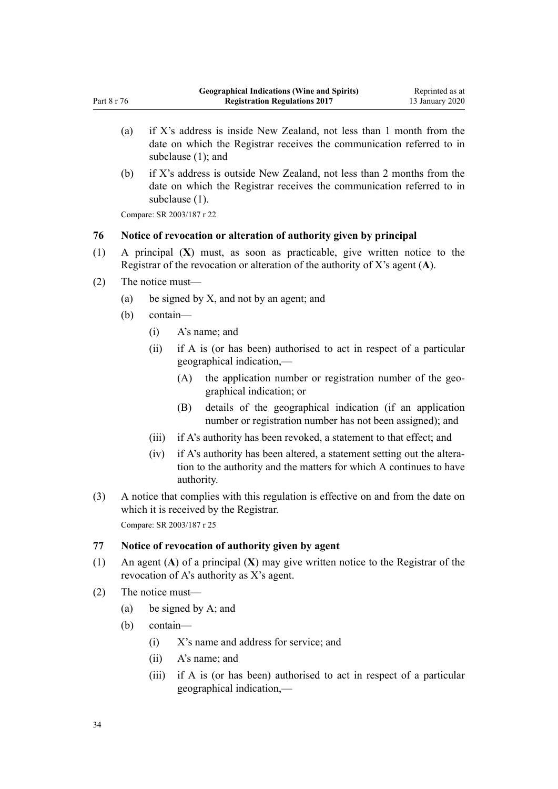- <span id="page-33-0"></span>(a) if X's address is inside New Zealand, not less than 1 month from the date on which the Registrar receives the communication referred to in subclause (1); and
- (b) if X's address is outside New Zealand, not less than 2 months from the date on which the Registrar receives the communication referred to in subclause (1).

Compare: SR 2003/187 [r 22](http://legislation.govt.nz/pdflink.aspx?id=DLM201938)

### **76 Notice of revocation or alteration of authority given by principal**

- (1) A principal (**X**) must, as soon as practicable, give written notice to the Registrar of the revocation or alteration of the authority of X's agent (**A**).
- (2) The notice must—
	- (a) be signed by X, and not by an agent; and
	- (b) contain—
		- (i) A's name; and
		- (ii) if A is (or has been) authorised to act in respect of a particular geographical indication,—
			- (A) the application number or registration number of the geographical indication; or
			- (B) details of the geographical indication (if an application number or registration number has not been assigned); and
		- (iii) if A's authority has been revoked, a statement to that effect; and
		- (iv) if A's authority has been altered, a statement setting out the alteration to the authority and the matters for which A continues to have authority.
- (3) A notice that complies with this regulation is effective on and from the date on which it is received by the Registrar. Compare: SR 2003/187 [r 25](http://legislation.govt.nz/pdflink.aspx?id=DLM201941)

### **77 Notice of revocation of authority given by agent**

- (1) An agent (**A**) of a principal (**X**) may give written notice to the Registrar of the revocation of A's authority as X's agent.
- (2) The notice must—
	- (a) be signed by A; and
	- (b) contain—
		- (i) X's name and address for service; and
		- (ii) A's name; and
		- (iii) if A is (or has been) authorised to act in respect of a particular geographical indication,—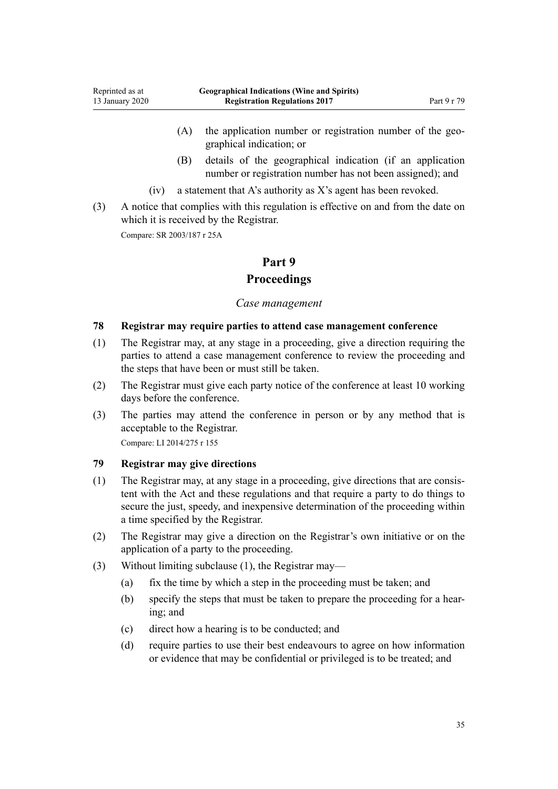- <span id="page-34-0"></span>(A) the application number or registration number of the geographical indication; or
- (B) details of the geographical indication (if an application number or registration number has not been assigned); and
- (iv) a statement that A's authority as X's agent has been revoked.
- (3) A notice that complies with this regulation is effective on and from the date on which it is received by the Registrar.

Compare: SR 2003/187 [r 25A](http://legislation.govt.nz/pdflink.aspx?id=DLM5164615)

# **Part 9**

# **Proceedings**

# *Case management*

# **78 Registrar may require parties to attend case management conference**

- (1) The Registrar may, at any stage in a proceeding, give a direction requiring the parties to attend a case management conference to review the proceeding and the steps that have been or must still be taken.
- (2) The Registrar must give each party notice of the conference at least 10 working days before the conference.
- (3) The parties may attend the conference in person or by any method that is acceptable to the Registrar.

Compare: LI 2014/275 [r 155](http://legislation.govt.nz/pdflink.aspx?id=DLM6166446)

# **79 Registrar may give directions**

- (1) The Registrar may, at any stage in a proceeding, give directions that are consistent with the Act and these regulations and that require a party to do things to secure the just, speedy, and inexpensive determination of the proceeding within a time specified by the Registrar.
- (2) The Registrar may give a direction on the Registrar's own initiative or on the application of a party to the proceeding.
- (3) Without limiting subclause (1), the Registrar may—
	- (a) fix the time by which a step in the proceeding must be taken; and
	- (b) specify the steps that must be taken to prepare the proceeding for a hearing; and
	- (c) direct how a hearing is to be conducted; and
	- (d) require parties to use their best endeavours to agree on how information or evidence that may be confidential or privileged is to be treated; and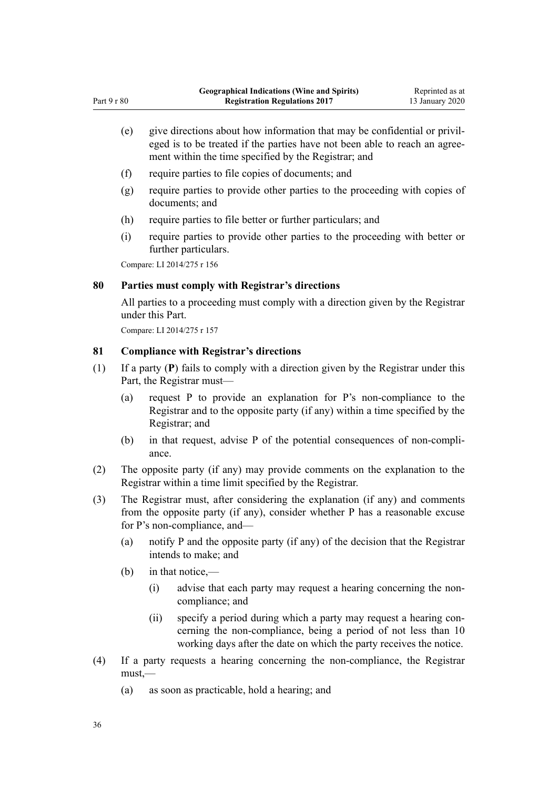- (e) give directions about how information that may be confidential or privileged is to be treated if the parties have not been able to reach an agreement within the time specified by the Registrar; and
- (f) require parties to file copies of documents; and
- (g) require parties to provide other parties to the proceeding with copies of documents; and
- (h) require parties to file better or further particulars; and
- (i) require parties to provide other parties to the proceeding with better or further particulars.

Compare: LI 2014/275 [r 156](http://legislation.govt.nz/pdflink.aspx?id=DLM6166447)

<span id="page-35-0"></span>Part 9 r 80

### **80 Parties must comply with Registrar's directions**

All parties to a proceeding must comply with a direction given by the Registrar under this Part.

Compare: LI 2014/275 [r 157](http://legislation.govt.nz/pdflink.aspx?id=DLM6166448)

## **81 Compliance with Registrar's directions**

- (1) If a party (**P**) fails to comply with a direction given by the Registrar under this Part, the Registrar must—
	- (a) request P to provide an explanation for P's non-compliance to the Registrar and to the opposite party (if any) within a time specified by the Registrar; and
	- (b) in that request, advise P of the potential consequences of non-compliance.
- (2) The opposite party (if any) may provide comments on the explanation to the Registrar within a time limit specified by the Registrar.
- (3) The Registrar must, after considering the explanation (if any) and comments from the opposite party (if any), consider whether P has a reasonable excuse for P's non-compliance, and—
	- (a) notify P and the opposite party (if any) of the decision that the Registrar intends to make; and
	- (b) in that notice,—
		- (i) advise that each party may request a hearing concerning the noncompliance; and
		- (ii) specify a period during which a party may request a hearing concerning the non-compliance, being a period of not less than 10 working days after the date on which the party receives the notice.
- (4) If a party requests a hearing concerning the non-compliance, the Registrar  $must$ —
	- (a) as soon as practicable, hold a hearing; and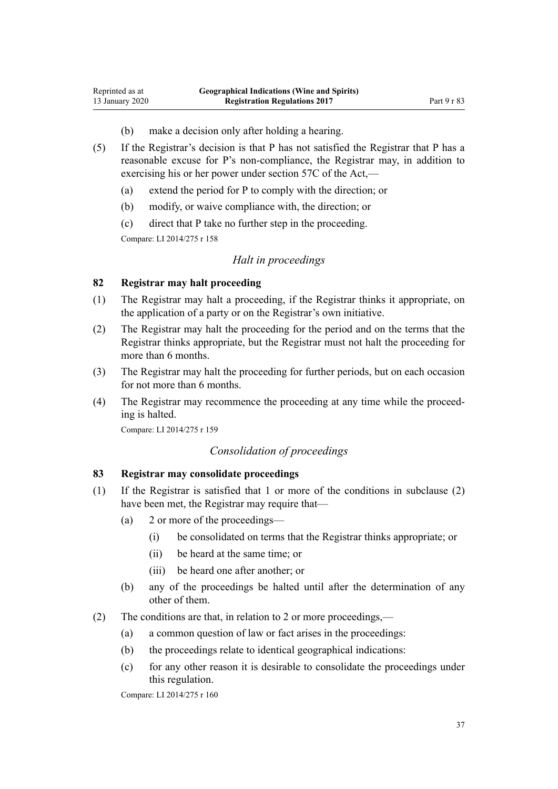- (b) make a decision only after holding a hearing.
- (5) If the Registrar's decision is that P has not satisfied the Registrar that P has a reasonable excuse for P's non-compliance, the Registrar may, in addition to exercising his or her power under [section 57C](http://legislation.govt.nz/pdflink.aspx?id=DLM7051618) of the Act,—
	- (a) extend the period for P to comply with the direction; or
	- (b) modify, or waive compliance with, the direction; or
	- (c) direct that P take no further step in the proceeding.

Compare: LI 2014/275 [r 158](http://legislation.govt.nz/pdflink.aspx?id=DLM6166449)

<span id="page-36-0"></span>Reprinted as at 13 January 2020

#### *Halt in proceedings*

# **82 Registrar may halt proceeding**

- (1) The Registrar may halt a proceeding, if the Registrar thinks it appropriate, on the application of a party or on the Registrar's own initiative.
- (2) The Registrar may halt the proceeding for the period and on the terms that the Registrar thinks appropriate, but the Registrar must not halt the proceeding for more than 6 months.
- (3) The Registrar may halt the proceeding for further periods, but on each occasion for not more than 6 months.
- (4) The Registrar may recommence the proceeding at any time while the proceeding is halted.

Compare: LI 2014/275 [r 159](http://legislation.govt.nz/pdflink.aspx?id=DLM6166451)

## *Consolidation of proceedings*

### **83 Registrar may consolidate proceedings**

- (1) If the Registrar is satisfied that 1 or more of the conditions in subclause (2) have been met, the Registrar may require that—
	- (a) 2 or more of the proceedings—
		- (i) be consolidated on terms that the Registrar thinks appropriate; or
		- (ii) be heard at the same time; or
		- (iii) be heard one after another; or
	- (b) any of the proceedings be halted until after the determination of any other of them.
- (2) The conditions are that, in relation to 2 or more proceedings,—
	- (a) a common question of law or fact arises in the proceedings:
	- (b) the proceedings relate to identical geographical indications:
	- (c) for any other reason it is desirable to consolidate the proceedings under this regulation.

Compare: LI 2014/275 [r 160](http://legislation.govt.nz/pdflink.aspx?id=DLM6166453)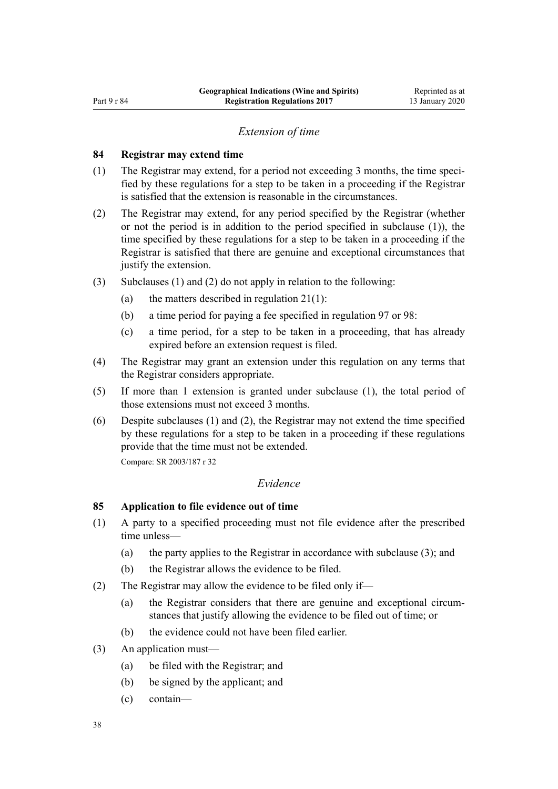#### *Extension of time*

### <span id="page-37-0"></span>**84 Registrar may extend time**

- (1) The Registrar may extend, for a period not exceeding 3 months, the time specified by these regulations for a step to be taken in a proceeding if the Registrar is satisfied that the extension is reasonable in the circumstances.
- (2) The Registrar may extend, for any period specified by the Registrar (whether or not the period is in addition to the period specified in subclause (1)), the time specified by these regulations for a step to be taken in a proceeding if the Registrar is satisfied that there are genuine and exceptional circumstances that justify the extension.
- (3) Subclauses (1) and (2) do not apply in relation to the following:
	- (a) the matters described in regulation  $21(1)$ :
	- (b) a time period for paying a fee specified in [regulation 97](#page-42-0) or [98](#page-42-0):
	- (c) a time period, for a step to be taken in a proceeding, that has already expired before an extension request is filed.
- (4) The Registrar may grant an extension under this regulation on any terms that the Registrar considers appropriate.
- (5) If more than 1 extension is granted under subclause (1), the total period of those extensions must not exceed 3 months.
- (6) Despite subclauses (1) and (2), the Registrar may not extend the time specified by these regulations for a step to be taken in a proceeding if these regulations provide that the time must not be extended.

Compare: SR 2003/187 [r 32](http://legislation.govt.nz/pdflink.aspx?id=DLM201954)

### *Evidence*

## **85 Application to file evidence out of time**

- (1) A party to a specified proceeding must not file evidence after the prescribed time unless—
	- (a) the party applies to the Registrar in accordance with subclause (3); and
	- (b) the Registrar allows the evidence to be filed.
- (2) The Registrar may allow the evidence to be filed only if—
	- (a) the Registrar considers that there are genuine and exceptional circumstances that justify allowing the evidence to be filed out of time; or
	- (b) the evidence could not have been filed earlier.
- (3) An application must—
	- (a) be filed with the Registrar; and
	- (b) be signed by the applicant; and
	- (c) contain—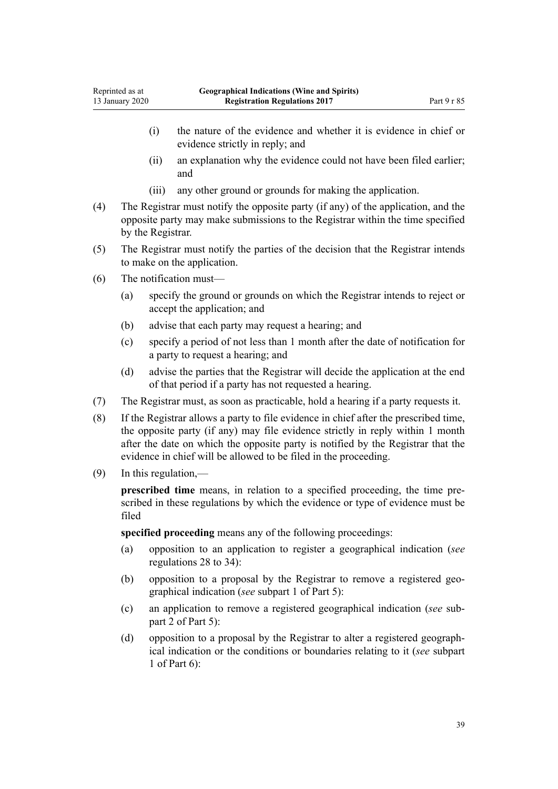- (i) the nature of the evidence and whether it is evidence in chief or evidence strictly in reply; and
- (ii) an explanation why the evidence could not have been filed earlier; and
- (iii) any other ground or grounds for making the application.
- (4) The Registrar must notify the opposite party (if any) of the application, and the opposite party may make submissions to the Registrar within the time specified by the Registrar.
- (5) The Registrar must notify the parties of the decision that the Registrar intends to make on the application.
- (6) The notification must—
	- (a) specify the ground or grounds on which the Registrar intends to reject or accept the application; and
	- (b) advise that each party may request a hearing; and
	- (c) specify a period of not less than 1 month after the date of notification for a party to request a hearing; and
	- (d) advise the parties that the Registrar will decide the application at the end of that period if a party has not requested a hearing.
- (7) The Registrar must, as soon as practicable, hold a hearing if a party requests it.
- (8) If the Registrar allows a party to file evidence in chief after the prescribed time, the opposite party (if any) may file evidence strictly in reply within 1 month after the date on which the opposite party is notified by the Registrar that the evidence in chief will be allowed to be filed in the proceeding.
- (9) In this regulation,—

**prescribed time** means, in relation to a specified proceeding, the time prescribed in these regulations by which the evidence or type of evidence must be filed

**specified proceeding** means any of the following proceedings:

- (a) opposition to an application to register a geographical indication (*see* [regulations 28 to 34\)](#page-15-0):
- (b) opposition to a proposal by the Registrar to remove a registered geographical indication (*see* [subpart 1](#page-19-0) of Part 5):
- (c) an application to remove a registered geographical indication (*see* [sub](#page-20-0)[part 2](#page-20-0) of Part 5):
- (d) opposition to a proposal by the Registrar to alter a registered geographical indication or the conditions or boundaries relating to it (*see* [subpart](#page-22-0) [1](#page-22-0) of Part 6):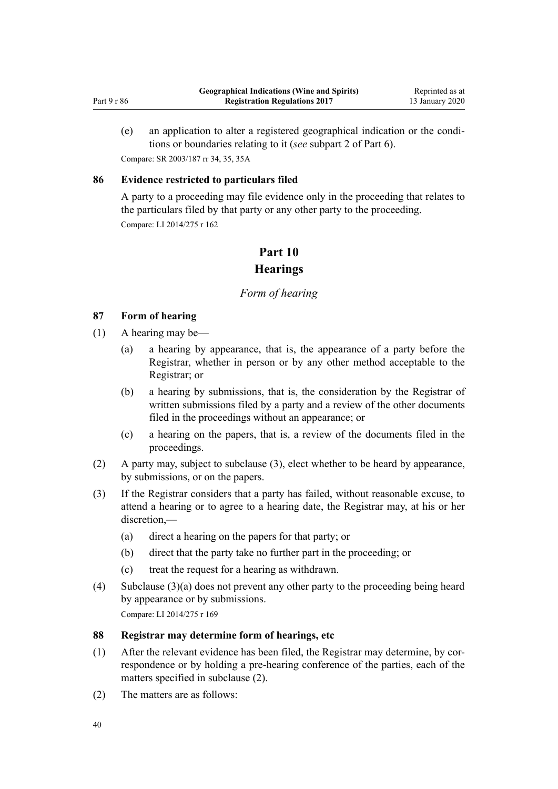<span id="page-39-0"></span>(e) an application to alter a registered geographical indication or the conditions or boundaries relating to it (*see* [subpart 2](#page-23-0) of Part 6). Compare: SR 2003/187 [rr 34,](http://legislation.govt.nz/pdflink.aspx?id=DLM201957) [35](http://legislation.govt.nz/pdflink.aspx?id=DLM201958), [35A](http://legislation.govt.nz/pdflink.aspx?id=DLM5164682)

# **86 Evidence restricted to particulars filed**

A party to a proceeding may file evidence only in the proceeding that relates to the particulars filed by that party or any other party to the proceeding. Compare: LI 2014/275 [r 162](http://legislation.govt.nz/pdflink.aspx?id=DLM6166457)

# **Part 10**

# **Hearings**

# *Form of hearing*

# **87 Form of hearing**

- (1) A hearing may be—
	- (a) a hearing by appearance, that is, the appearance of a party before the Registrar, whether in person or by any other method acceptable to the Registrar; or
	- (b) a hearing by submissions, that is, the consideration by the Registrar of written submissions filed by a party and a review of the other documents filed in the proceedings without an appearance; or
	- (c) a hearing on the papers, that is, a review of the documents filed in the proceedings.
- (2) A party may, subject to subclause (3), elect whether to be heard by appearance, by submissions, or on the papers.
- (3) If the Registrar considers that a party has failed, without reasonable excuse, to attend a hearing or to agree to a hearing date, the Registrar may, at his or her  $discretion$ —
	- (a) direct a hearing on the papers for that party; or
	- (b) direct that the party take no further part in the proceeding; or
	- (c) treat the request for a hearing as withdrawn.
- (4) Subclause (3)(a) does not prevent any other party to the proceeding being heard by appearance or by submissions. Compare: LI 2014/275 [r 169](http://legislation.govt.nz/pdflink.aspx?id=DLM6166470)

# **88 Registrar may determine form of hearings, etc**

- (1) After the relevant evidence has been filed, the Registrar may determine, by correspondence or by holding a pre-hearing conference of the parties, each of the matters specified in subclause (2).
- (2) The matters are as follows: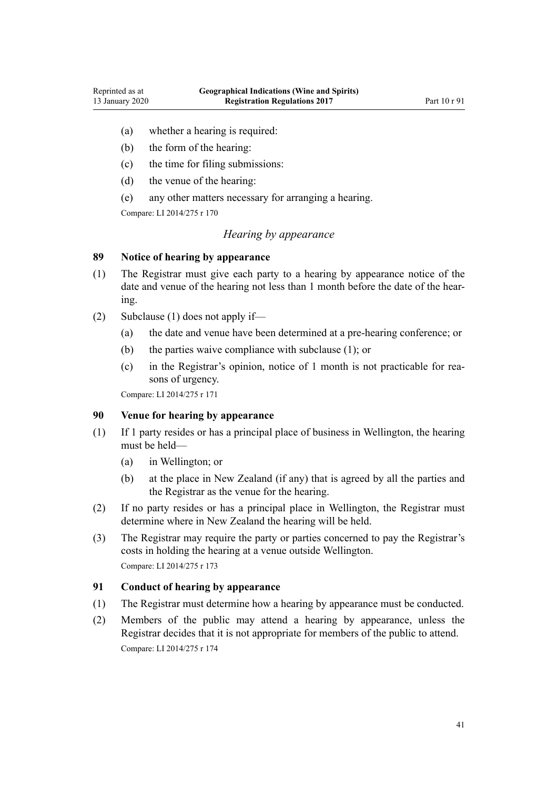- <span id="page-40-0"></span>(a) whether a hearing is required:
- (b) the form of the hearing:
- (c) the time for filing submissions:
- (d) the venue of the hearing:
- (e) any other matters necessary for arranging a hearing.

Compare: LI 2014/275 [r 170](http://legislation.govt.nz/pdflink.aspx?id=DLM6166472)

# *Hearing by appearance*

# **89 Notice of hearing by appearance**

- (1) The Registrar must give each party to a hearing by appearance notice of the date and venue of the hearing not less than 1 month before the date of the hearing.
- (2) Subclause (1) does not apply if—
	- (a) the date and venue have been determined at a pre-hearing conference; or
	- (b) the parties waive compliance with subclause (1); or
	- (c) in the Registrar's opinion, notice of 1 month is not practicable for reasons of urgency.

Compare: LI 2014/275 [r 171](http://legislation.govt.nz/pdflink.aspx?id=DLM6166474)

# **90 Venue for hearing by appearance**

- (1) If 1 party resides or has a principal place of business in Wellington, the hearing must be held—
	- (a) in Wellington; or
	- (b) at the place in New Zealand (if any) that is agreed by all the parties and the Registrar as the venue for the hearing.
- (2) If no party resides or has a principal place in Wellington, the Registrar must determine where in New Zealand the hearing will be held.
- (3) The Registrar may require the party or parties concerned to pay the Registrar's costs in holding the hearing at a venue outside Wellington. Compare: LI 2014/275 [r 173](http://legislation.govt.nz/pdflink.aspx?id=DLM6166476)

### **91 Conduct of hearing by appearance**

- (1) The Registrar must determine how a hearing by appearance must be conducted.
- (2) Members of the public may attend a hearing by appearance, unless the Registrar decides that it is not appropriate for members of the public to attend. Compare: LI 2014/275 [r 174](http://legislation.govt.nz/pdflink.aspx?id=DLM6166477)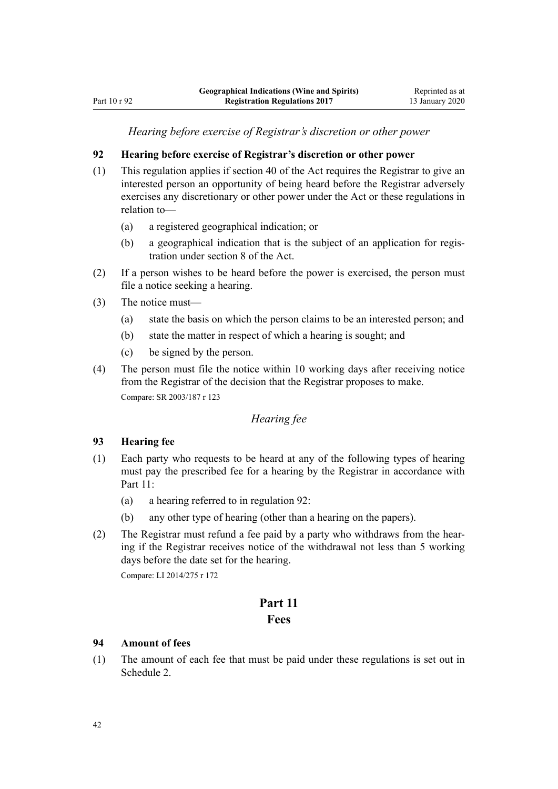*Hearing before exercise of Registrar's discretion or other power*

# <span id="page-41-0"></span>**92 Hearing before exercise of Registrar's discretion or other power**

- (1) This regulation applies if [section 40](http://legislation.govt.nz/pdflink.aspx?id=DLM390866) of the Act requires the Registrar to give an interested person an opportunity of being heard before the Registrar adversely exercises any discretionary or other power under the Act or these regulations in relation to—
	- (a) a registered geographical indication; or
	- (b) a geographical indication that is the subject of an application for registration under section 8 of the Act.
- (2) If a person wishes to be heard before the power is exercised, the person must file a notice seeking a hearing.
- (3) The notice must—
	- (a) state the basis on which the person claims to be an interested person; and
	- (b) state the matter in respect of which a hearing is sought; and
	- (c) be signed by the person.
- (4) The person must file the notice within 10 working days after receiving notice from the Registrar of the decision that the Registrar proposes to make. Compare: SR 2003/187 [r 123](http://legislation.govt.nz/pdflink.aspx?id=DLM202386)

# *Hearing fee*

### **93 Hearing fee**

- (1) Each party who requests to be heard at any of the following types of hearing must pay the prescribed fee for a hearing by the Registrar in accordance with Part 11:
	- (a) a hearing referred to in regulation 92:
	- (b) any other type of hearing (other than a hearing on the papers).
- (2) The Registrar must refund a fee paid by a party who withdraws from the hearing if the Registrar receives notice of the withdrawal not less than 5 working days before the date set for the hearing.

Compare: LI 2014/275 [r 172](http://legislation.govt.nz/pdflink.aspx?id=DLM6166475)

# **Part 11**

# **Fees**

### **94 Amount of fees**

(1) The amount of each fee that must be paid under these regulations is set out in [Schedule 2.](#page-44-0)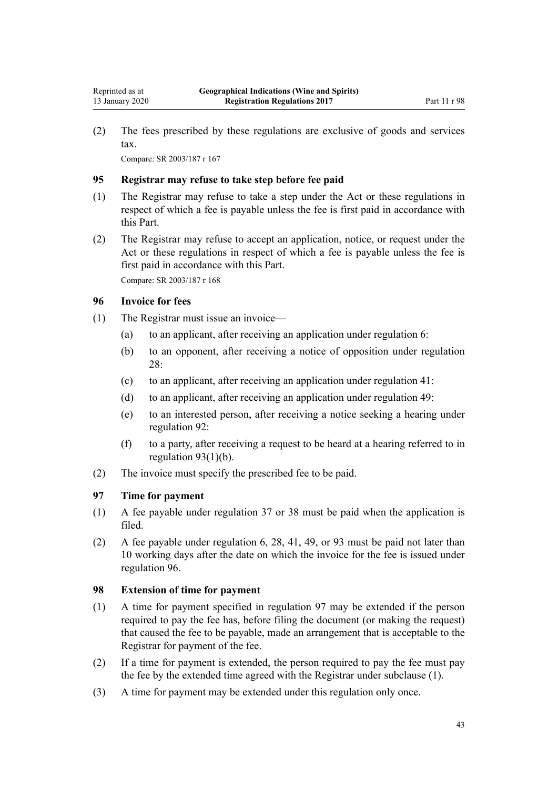<span id="page-42-0"></span>(2) The fees prescribed by these regulations are exclusive of goods and services tax.

Compare: SR 2003/187 [r 167](http://legislation.govt.nz/pdflink.aspx?id=DLM202847)

# **95 Registrar may refuse to take step before fee paid**

- (1) The Registrar may refuse to take a step under the Act or these regulations in respect of which a fee is payable unless the fee is first paid in accordance with this Part.
- (2) The Registrar may refuse to accept an application, notice, or request under the Act or these regulations in respect of which a fee is payable unless the fee is first paid in accordance with this Part.

Compare: SR 2003/187 [r 168](http://legislation.govt.nz/pdflink.aspx?id=DLM202848)

# **96 Invoice for fees**

- (1) The Registrar must issue an invoice—
	- (a) to an applicant, after receiving an application under [regulation 6](#page-8-0):
	- (b) to an opponent, after receiving a notice of opposition under [regulation](#page-15-0)  $28$
	- (c) to an applicant, after receiving an application under [regulation 41](#page-20-0):
	- (d) to an applicant, after receiving an application under [regulation 49](#page-23-0):
	- (e) to an interested person, after receiving a notice seeking a hearing under [regulation 92](#page-41-0):
	- (f) to a party, after receiving a request to be heard at a hearing referred to in [regulation 93\(1\)\(b\)](#page-41-0).
- (2) The invoice must specify the prescribed fee to be paid.

### **97 Time for payment**

- (1) A fee payable under [regulation 37](#page-19-0) or [38](#page-19-0) must be paid when the application is filed.
- (2) A fee payable under [regulation 6](#page-8-0), [28,](#page-15-0) [41,](#page-20-0) [49,](#page-23-0) or [93](#page-41-0) must be paid not later than 10 working days after the date on which the invoice for the fee is issued under regulation 96.

# **98 Extension of time for payment**

- (1) A time for payment specified in regulation 97 may be extended if the person required to pay the fee has, before filing the document (or making the request) that caused the fee to be payable, made an arrangement that is acceptable to the Registrar for payment of the fee.
- (2) If a time for payment is extended, the person required to pay the fee must pay the fee by the extended time agreed with the Registrar under subclause (1).
- (3) A time for payment may be extended under this regulation only once.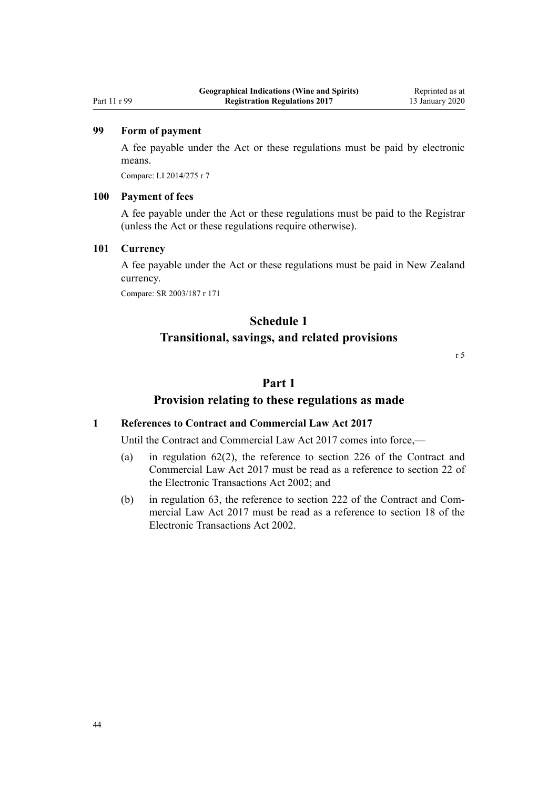### <span id="page-43-0"></span>Part 11 r 99

# **99 Form of payment**

A fee payable under the Act or these regulations must be paid by electronic means.

Compare: LI 2014/275 [r 7](http://legislation.govt.nz/pdflink.aspx?id=DLM6166233)

#### **100 Payment of fees**

A fee payable under the Act or these regulations must be paid to the Registrar (unless the Act or these regulations require otherwise).

### **101 Currency**

A fee payable under the Act or these regulations must be paid in New Zealand currency.

Compare: SR 2003/187 [r 171](http://legislation.govt.nz/pdflink.aspx?id=DLM202851)

# **Schedule 1 Transitional, savings, and related provisions**

[r 5](#page-8-0)

# **Part 1**

### **Provision relating to these regulations as made**

#### **1 References to Contract and Commercial Law Act 2017**

Until the [Contract and Commercial Law Act 2017](http://legislation.govt.nz/pdflink.aspx?id=DLM6844000) comes into force,—

- (a) in [regulation 62\(2\)](#page-28-0), the reference to [section 226](http://legislation.govt.nz/pdflink.aspx?id=DLM6844474) of the Contract and Commercial Law Act 2017 must be read as a reference to [section 22](http://legislation.govt.nz/pdflink.aspx?id=DLM154837) of the Electronic Transactions Act 2002; and
- (b) in regulation 63, the reference to [section 222](http://legislation.govt.nz/pdflink.aspx?id=DLM6844469) of the Contract and Commercial Law Act 2017 must be read as a reference to [section 18](http://legislation.govt.nz/pdflink.aspx?id=DLM154832) of the Electronic Transactions Act 2002.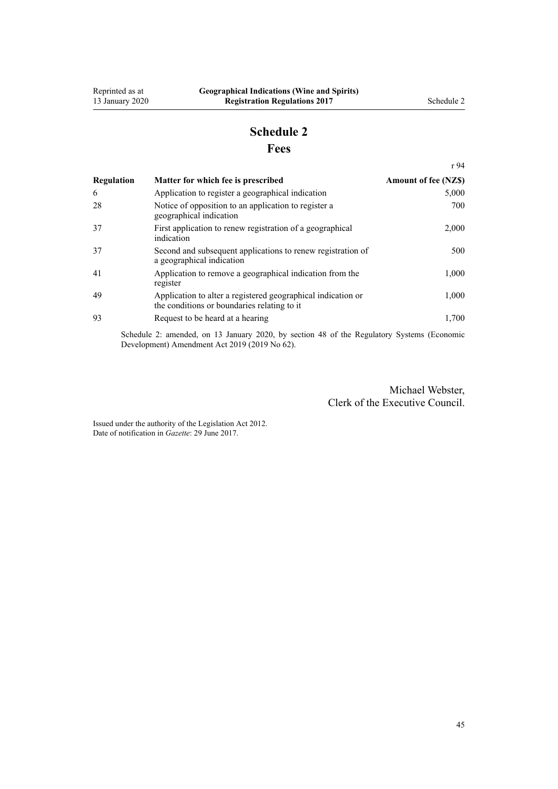[r 94](#page-41-0)

# **Schedule 2 Fees**

<span id="page-44-0"></span>

| Regulation | Matter for which fee is prescribed                                                                           | <b>Amount of fee (NZ\$)</b> |
|------------|--------------------------------------------------------------------------------------------------------------|-----------------------------|
| 6          | Application to register a geographical indication                                                            | 5,000                       |
| 28         | Notice of opposition to an application to register a<br>geographical indication                              | 700                         |
| 37         | First application to renew registration of a geographical<br>indication                                      | 2,000                       |
| 37         | Second and subsequent applications to renew registration of<br>a geographical indication                     | 500                         |
| 41         | Application to remove a geographical indication from the<br>register                                         | 1,000                       |
| 49         | Application to alter a registered geographical indication or<br>the conditions or boundaries relating to it. | 1,000                       |
| 93         | Request to be heard at a hearing                                                                             | 1,700                       |

Schedule 2: amended, on 13 January 2020, by [section 48](http://legislation.govt.nz/pdflink.aspx?id=LMS85618) of the Regulatory Systems (Economic Development) Amendment Act 2019 (2019 No 62).

> Michael Webster, Clerk of the Executive Council.

Issued under the authority of the [Legislation Act 2012](http://legislation.govt.nz/pdflink.aspx?id=DLM2997643). Date of notification in *Gazette*: 29 June 2017.